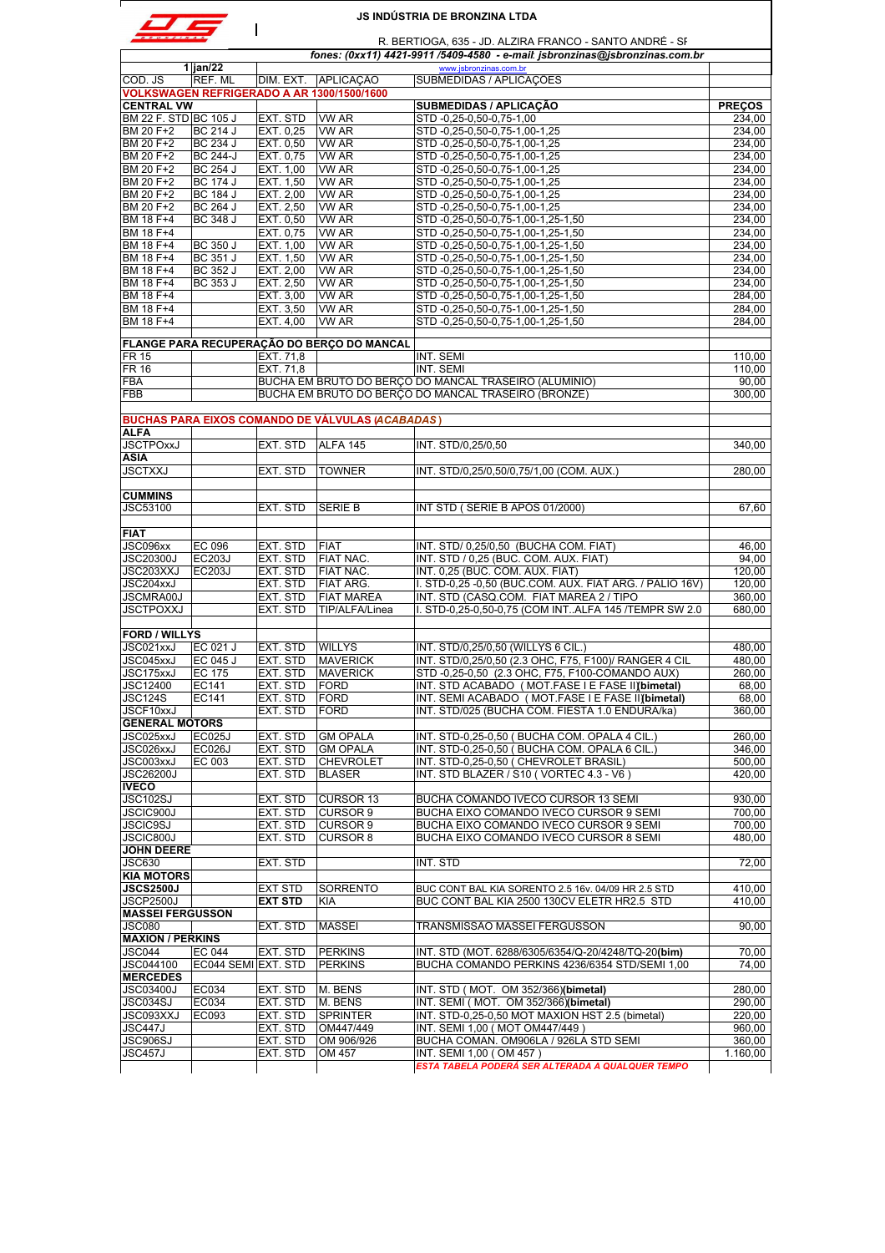|                                          |                                                                                                                                         |                        |                                                                   | <b>JS INDÚSTRIA DE BRONZINA LTDA</b>                                             |                  |  |  |
|------------------------------------------|-----------------------------------------------------------------------------------------------------------------------------------------|------------------------|-------------------------------------------------------------------|----------------------------------------------------------------------------------|------------------|--|--|
|                                          | R. BERTIOGA, 635 - JD. ALZIRA FRANCO - SANTO ANDRÉ - SF<br>fones: (0xx11) 4421-9911 /5409-4580 - e-mail: jsbronzinas@jsbronzinas.com.br |                        |                                                                   |                                                                                  |                  |  |  |
|                                          | $1$  jan/22                                                                                                                             |                        |                                                                   | www.jsbronzinas.com.br                                                           |                  |  |  |
| COD. JS                                  | REF. ML                                                                                                                                 |                        | DIM. EXT. APLICAÇÃO<br>VOLKSWAGEN REFRIGERADO A AR 1300/1500/1600 | SUBMEDIDAS / APLICAÇÕES                                                          |                  |  |  |
| <b>CENTRAL VW</b>                        |                                                                                                                                         |                        |                                                                   | <b>SUBMEDIDAS / APLICAÇÃO</b>                                                    | <b>PRECOS</b>    |  |  |
| BM 22 F. STD BC 105 J                    |                                                                                                                                         | EXT. STD               | VW AR                                                             | STD -0,25-0,50-0,75-1,00                                                         | 234,00           |  |  |
| BM 20 F+2                                | <b>BC 214 J</b>                                                                                                                         | EXT. 0,25              | VW AR                                                             | STD -0,25-0,50-0,75-1,00-1,25                                                    | 234,00           |  |  |
| BM 20 F+2                                | <b>BC 234 J</b>                                                                                                                         | EXT. 0.50              | <b>VW AR</b><br><b>VW AR</b>                                      | STD -0,25-0,50-0,75-1,00-1,25<br>STD-0,25-0,50-0,75-1,00-1,25                    | 234.00<br>234.00 |  |  |
| BM 20 F+2<br>BM 20 F+2                   | <b>BC 244-J</b><br><b>BC 254 J</b>                                                                                                      | EXT. 0,75<br>EXT. 1,00 | VW AR                                                             | STD -0,25-0,50-0,75-1,00-1,25                                                    | 234,00           |  |  |
| BM 20 F+2                                | <b>BC 174 J</b>                                                                                                                         | EXT. 1.50              | VW AR                                                             | STD-0.25-0.50-0.75-1.00-1.25                                                     | 234,00           |  |  |
| BM 20 F+2                                | <b>BC 184 J</b>                                                                                                                         | EXT. 2,00              | <b>VW AR</b>                                                      | STD -0,25-0,50-0,75-1,00-1,25                                                    | 234,00           |  |  |
| BM 20 F+2                                | <b>BC 264 J</b>                                                                                                                         | EXT. 2,50              | VW AR                                                             | STD -0,25-0,50-0,75-1,00-1,25                                                    | 234,00           |  |  |
| BM 18 F+4                                | BC 348 J                                                                                                                                | EXT. 0.50              | <b>VW AR</b>                                                      | STD -0,25-0,50-0,75-1,00-1,25-1,50                                               | 234,00           |  |  |
| BM 18 F+4                                |                                                                                                                                         | EXT. 0,75              | VW AR                                                             | STD-0,25-0,50-0,75-1,00-1,25-1,50                                                | 234,00           |  |  |
| BM 18 F+4<br>BM 18 F+4                   | <b>BC 350 J</b><br><b>BC 351 J</b>                                                                                                      | EXT. 1,00<br>EXT. 1,50 | <b>VW AR</b><br>VW AR                                             | STD-0,25-0,50-0,75-1,00-1,25-1,50<br>STD -0,25-0,50-0,75-1,00-1,25-1,50          | 234,00<br>234.00 |  |  |
| BM 18 F+4                                | BC 352 J                                                                                                                                | EXT. 2,00              | <b>VW AR</b>                                                      | STD-0,25-0,50-0,75-1,00-1,25-1,50                                                | 234,00           |  |  |
| BM 18 F+4                                | BC 353 J                                                                                                                                | EXT. 2,50              | VW AR                                                             | STD -0,25-0,50-0,75-1,00-1,25-1,50                                               | 234,00           |  |  |
| BM 18 F+4                                |                                                                                                                                         | EXT. 3,00              | VW AR                                                             | STD -0,25-0,50-0,75-1,00-1,25-1,50                                               | 284,00           |  |  |
| BM 18 F+4                                |                                                                                                                                         | EXT. 3,50              | <b>VW AR</b>                                                      | STD -0,25-0,50-0,75-1,00-1,25-1,50                                               | 284.00           |  |  |
| BM 18 F+4                                |                                                                                                                                         | EXT. 4,00              | <b>VW AR</b>                                                      | STD -0,25-0,50-0,75-1,00-1,25-1,50                                               | 284,00           |  |  |
|                                          |                                                                                                                                         |                        | FLANGE PARA RECUPERAÇÃO DO BERÇO DO MANCAL                        |                                                                                  |                  |  |  |
| <b>FR 15</b>                             |                                                                                                                                         | EXT. 71,8              |                                                                   | INT. SEMI                                                                        | 110,00           |  |  |
| <b>FR 16</b>                             |                                                                                                                                         | EXT. 71.8              |                                                                   | INT. SEMI                                                                        | 110,00           |  |  |
| <b>FBA</b>                               |                                                                                                                                         |                        |                                                                   | BUCHA EM BRUTO DO BERÇO DO MANCAL TRASEIRO (ALUMINIO)                            | 90.00            |  |  |
| FBB                                      |                                                                                                                                         |                        |                                                                   | BUCHA EM BRUTO DO BERÇO DO MANCAL TRASEIRO (BRONZE)                              | 300.00           |  |  |
|                                          |                                                                                                                                         |                        |                                                                   |                                                                                  |                  |  |  |
| <b>ALFA</b>                              |                                                                                                                                         |                        | <b>BUCHAS PARA EIXOS COMANDO DE VÁLVULAS (ACABADAS)</b>           |                                                                                  |                  |  |  |
| <b>JSCTPOxxJ</b>                         |                                                                                                                                         | EXT. STD               | ALFA 145                                                          | INT. STD/0,25/0,50                                                               | 340,00           |  |  |
| ASIA                                     |                                                                                                                                         |                        |                                                                   |                                                                                  |                  |  |  |
| <b>JSCTXXJ</b>                           |                                                                                                                                         | EXT. STD               | <b>TOWNER</b>                                                     | INT. STD/0,25/0,50/0,75/1,00 (COM. AUX.)                                         | 280,00           |  |  |
|                                          |                                                                                                                                         |                        |                                                                   |                                                                                  |                  |  |  |
| <b>CUMMINS</b>                           |                                                                                                                                         |                        |                                                                   |                                                                                  |                  |  |  |
| JSC53100                                 |                                                                                                                                         | EXT. STD               | <b>SERIE B</b>                                                    | INT STD (SÉRIE B APÓS 01/2000)                                                   | 67,60            |  |  |
| <b>FIAT</b>                              |                                                                                                                                         |                        |                                                                   |                                                                                  |                  |  |  |
| JSC096xx                                 | <b>EC 096</b>                                                                                                                           | EXT. STD               | <b>FIAT</b>                                                       | INT. STD/ 0,25/0,50 (BUCHA COM. FIAT)                                            | 46,00            |  |  |
| <b>JSC20300J</b>                         | <b>EC203J</b>                                                                                                                           | EXT. STD               | <b>FIAT NAC.</b>                                                  | INT. STD / 0,25 (BUC. COM. AUX. FIAT)                                            | 94.00            |  |  |
| JSC203XXJ                                | <b>EC203J</b>                                                                                                                           | EXT. STD               | <b>FIAT NAC.</b>                                                  | INT. 0,25 (BUC. COM. AUX. FIAT)                                                  | 120,00           |  |  |
| JSC204xxJ                                |                                                                                                                                         | EXT. STD               | FIAT ARG.                                                         | I. STD-0,25 -0,50 (BUC.COM. AUX. FIAT ARG. / PALIO 16V)                          | 120.00           |  |  |
| JSCMRA00J                                |                                                                                                                                         | EXT. STD               | <b>FIAT MAREA</b>                                                 | INT. STD (CASQ.COM. FIAT MAREA 2 / TIPO                                          | 360,00           |  |  |
| <b>JSCTPOXXJ</b>                         |                                                                                                                                         | EXT. STD               | TIP/ALFA/Linea                                                    | I. STD-0,25-0,50-0,75 (COM INTALFA 145 /TEMPR SW 2.0                             | 680.00           |  |  |
| <b>FORD / WILLYS</b>                     |                                                                                                                                         |                        |                                                                   |                                                                                  |                  |  |  |
| JSC021xxJ                                | EC 021 J                                                                                                                                | EXT. STD               | <b>WILLYS</b>                                                     | INT. STD/0,25/0,50 (WILLYS 6 CIL.)                                               | 480,00           |  |  |
| JSC045xxJ                                | EC 045 J                                                                                                                                | EXT. STD               | <b>MAVERICK</b>                                                   | INT. STD/0,25/0,50 (2.3 OHC, F75, F100)/ RANGER 4 CIL                            | 480,00           |  |  |
| JSC175xxJ                                | <b>EC 175</b>                                                                                                                           | EXI. SID               | <b>IMAVERICK</b>                                                  | STD-0,25-0,50 (2.3 OHC, F75, F100-COMANDO AUX)                                   | 260,00           |  |  |
| JSC12400                                 | EC141                                                                                                                                   | EXT. STD               | <b>FORD</b>                                                       | INT. STD ACABADO (MOT.FASE I E FASE II) (bimetal)                                | 68,00            |  |  |
| <b>JSC124S</b>                           | EC141                                                                                                                                   | EXT. STD               | <b>FORD</b>                                                       | INT. SEMI ACABADO (MOT.FASE I E FASE II) (bimetal)                               | 68,00            |  |  |
| JSCF10xxJ                                |                                                                                                                                         | EXT. STD               | <b>FORD</b>                                                       | INT. STD/025 (BUCHA COM. FIESTA 1.0 ENDURA/ka)                                   | 360,00           |  |  |
| <b>GENERAL MOTORS</b><br>JSC025xxJ       | <b>EC025J</b>                                                                                                                           | EXT. STD               | <b>GM OPALA</b>                                                   | INT. STD-0,25-0,50 ( BUCHA COM. OPALA 4 CIL.)                                    | 260,00           |  |  |
| JSC026xxJ                                | <b>EC026J</b>                                                                                                                           | EXT. STD               | <b>GM OPALA</b>                                                   | INT. STD-0.25-0.50 (BUCHA COM, OPALA 6 CIL.)                                     | 346.00           |  |  |
| JSC003xxJ                                | EC 003                                                                                                                                  | EXT. STD               | <b>CHEVROLET</b>                                                  | INT. STD-0,25-0,50 ( CHEVROLET BRASIL)                                           | 500,00           |  |  |
| <b>JSC26200J</b>                         |                                                                                                                                         | EXT. STD               | <b>BLASER</b>                                                     | INT. STD BLAZER / S10 (VORTEC 4.3 - V6)                                          | 420,00           |  |  |
| <b>IVECO</b>                             |                                                                                                                                         |                        |                                                                   |                                                                                  |                  |  |  |
| <b>JSC102SJ</b>                          |                                                                                                                                         | EXT. STD               | <b>CURSOR 13</b>                                                  | BUCHA COMANDO IVECO CURSOR 13 SEMI                                               | 930,00           |  |  |
| JSCIC900J                                |                                                                                                                                         | EXT. STD               | <b>CURSOR 9</b>                                                   | BUCHA EIXO COMANDO IVECO CURSOR 9 SEMI                                           | 700,00           |  |  |
| <b>JSCIC9SJ</b><br>JSCIC800J             |                                                                                                                                         | EXT. STD<br>EXT. STD   | <b>CURSOR 9</b><br><b>CURSOR 8</b>                                | BUCHA EIXO COMANDO IVECO CURSOR 9 SEMI<br>BUCHA EIXO COMANDO IVECO CURSOR 8 SEMI | 700,00<br>480.00 |  |  |
| <b>JOHN DEERE</b>                        |                                                                                                                                         |                        |                                                                   |                                                                                  |                  |  |  |
| <b>JSC630</b>                            |                                                                                                                                         | EXT. STD               |                                                                   | INT. STD                                                                         | 72,00            |  |  |
| <b>KIA MOTORS</b>                        |                                                                                                                                         |                        |                                                                   |                                                                                  |                  |  |  |
| <b>JSCS2500J</b>                         |                                                                                                                                         | <b>EXT STD</b>         | SORRENTO                                                          | BUC CONT BAL KIA SORENTO 2.5 16v. 04/09 HR 2.5 STD                               | 410,00           |  |  |
| JSCP2500J                                |                                                                                                                                         | <b>EXT STD</b>         | KIA                                                               | BUC CONT BAL KIA 2500 130CV ELETR HR2.5 STD                                      | 410,00           |  |  |
| <b>MASSEI FERGUSSON</b><br><b>JSC080</b> |                                                                                                                                         | EXT. STD               | <b>MASSEI</b>                                                     | TRANSMISSÃO MASSEI FERGUSSON                                                     | 90,00            |  |  |
| <b>MAXION / PERKINS</b>                  |                                                                                                                                         |                        |                                                                   |                                                                                  |                  |  |  |
| <b>JSC044</b>                            | EC 044                                                                                                                                  | EXT. STD               | <b>PERKINS</b>                                                    | INT. STD (MOT. 6288/6305/6354/Q-20/4248/TQ-20(bim)                               | 70,00            |  |  |
| JSC044100                                | EC044 SEMI EXT. STD                                                                                                                     |                        | <b>PERKINS</b>                                                    | BUCHA COMANDO PERKINS 4236/6354 STD/SEMI 1,00                                    | 74,00            |  |  |
| <b>MERCEDES</b>                          |                                                                                                                                         |                        |                                                                   |                                                                                  |                  |  |  |
| <b>JSC03400J</b>                         | EC034                                                                                                                                   | EXT. STD               | M. BENS                                                           | INT. STD (MOT. OM 352/366)(bimetal)                                              | 280,00           |  |  |
| JSC034SJ                                 | EC034                                                                                                                                   | EXT. STD               | M. BENS                                                           | INT. SEMI (MOT. OM 352/366)(bimetal)                                             | 290,00           |  |  |
| JSC093XXJ                                | EC093                                                                                                                                   | EXT. STD               | <b>SPRINTER</b>                                                   | INT. STD-0,25-0,50 MOT MAXION HST 2.5 (bimetal)                                  | 220,00           |  |  |
| JSC447J<br>JSC906SJ                      |                                                                                                                                         | EXT. STD<br>EXT. STD   | OM447/449<br>OM 906/926                                           | INT. SEMI 1,00 (MOT OM447/449 )<br>BUCHA COMAN. OM906LA / 926LA STD SEMI         | 960,00<br>360,00 |  |  |
| JSC457J                                  |                                                                                                                                         | EXT. STD               | OM 457                                                            | INT. SEMI 1,00 (OM 457)                                                          | 1.160,00         |  |  |
|                                          |                                                                                                                                         |                        |                                                                   | ESTA TABELA PODERÁ SER ALTERADA A QUALQUER TEMPO                                 |                  |  |  |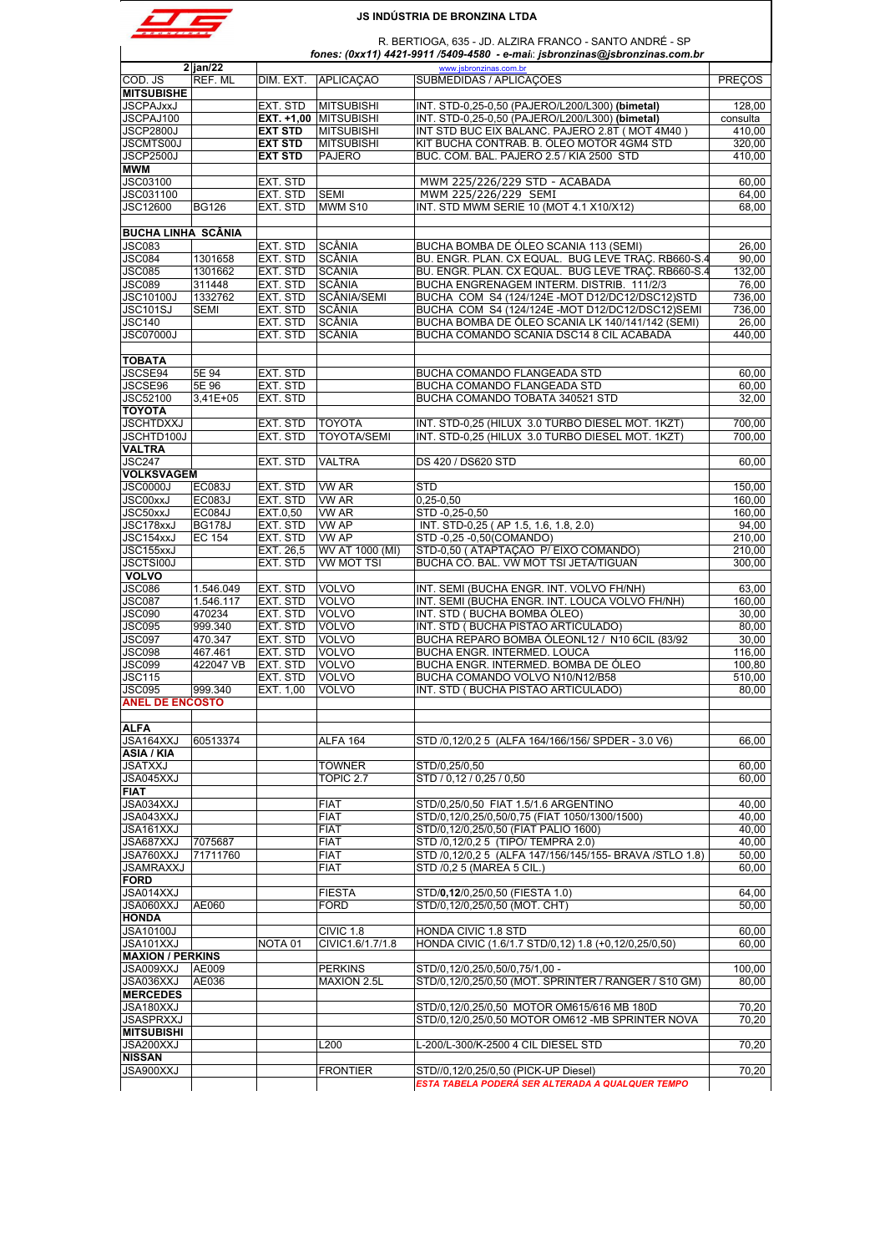

R. BERTIOGA, 635 - JD. ALZIRA FRANCO - SANTO ANDRÉ - SP

|                                                                                                                                                                                                                                                                                              |                       |                    |                       | fones: (0xx11) 4421-9911 /5409-4580 - e-mai: jsbronzinas@jsbronzinas.com.br |                                                                                        |
|----------------------------------------------------------------------------------------------------------------------------------------------------------------------------------------------------------------------------------------------------------------------------------------------|-----------------------|--------------------|-----------------------|-----------------------------------------------------------------------------|----------------------------------------------------------------------------------------|
| COD. JS                                                                                                                                                                                                                                                                                      | $2$ jan/22<br>REF. ML | DIM. EXT.          | <b>APLICAÇÃO</b>      | www.jsbronzinas.com.br<br>SUBMEDIDAS / APLICAÇÕES                           | <b>PRECOS</b>                                                                          |
| <b>MITSUBISHE</b>                                                                                                                                                                                                                                                                            |                       |                    |                       |                                                                             |                                                                                        |
| <b>JSCPAJxxJ</b>                                                                                                                                                                                                                                                                             |                       | EXT. STD           | <b>MITSUBISHI</b>     | INT. STD-0,25-0,50 (PAJERO/L200/L300) (bimetal)                             | 128,00                                                                                 |
| JSCPAJ100                                                                                                                                                                                                                                                                                    |                       |                    | EXT. +1,00 MITSUBISHI | INT. STD-0,25-0,50 (PAJERO/L200/L300) (bimetal)                             | consulta                                                                               |
| <b>JSCP2800J</b>                                                                                                                                                                                                                                                                             |                       | <b>EXT STD</b>     | <b>MITSUBISHI</b>     | INT STD BUC EIX BALANC. PAJERO 2.8T (MOT 4M40)                              | 410,00                                                                                 |
| <b>JSCMTS00J</b>                                                                                                                                                                                                                                                                             |                       |                    | <b>MITSUBISHI</b>     | KIT BUCHA CONTRAB. B. ÓLEO MOTOR 4GM4 STD                                   | 320,00                                                                                 |
|                                                                                                                                                                                                                                                                                              |                       | <b>EXT STD</b>     |                       |                                                                             |                                                                                        |
| <b>JSCP2500J</b>                                                                                                                                                                                                                                                                             |                       | <b>EXT STD</b>     | <b>PAJERO</b>         | BUC. COM. BAL. PAJERO 2.5 / KIA 2500 STD                                    | 410,00                                                                                 |
| <b>MWM</b>                                                                                                                                                                                                                                                                                   |                       |                    |                       |                                                                             |                                                                                        |
| <b>JSC03100</b>                                                                                                                                                                                                                                                                              |                       | EXT. STD           |                       | MWM 225/226/229 STD - ACABADA                                               | 60,00                                                                                  |
| JSC031100                                                                                                                                                                                                                                                                                    |                       | EXT. STD           | <b>SEMI</b>           | MWM 225/226/229 SEMI                                                        | 64,00                                                                                  |
| <b>JSC12600</b>                                                                                                                                                                                                                                                                              | <b>BG126</b>          | EXT. STD           | MWM S10               | INT. STD MWM SERIE 10 (MOT 4.1 X10/X12)                                     | 68,00                                                                                  |
| <b>BUCHA LINHA SCÂNIA</b>                                                                                                                                                                                                                                                                    |                       |                    |                       |                                                                             |                                                                                        |
| <b>JSC083</b>                                                                                                                                                                                                                                                                                |                       | EXT. STD           | SCÂNIA                | BUCHA BOMBA DE ÓLEO SCANIA 113 (SEMI)                                       | 26,00                                                                                  |
| JSC084                                                                                                                                                                                                                                                                                       | 1301658               | EXT. STD           | <b>SCÂNIA</b>         | BU. ENGR. PLAN. CX EQUAL. BUG LEVE TRAÇ. RB660-S.4                          | 90.00                                                                                  |
| <b>JSC085</b>                                                                                                                                                                                                                                                                                | 1301662               | EXT. STD           | SCÂNIA                | BU. ENGR. PLAN. CX EQUAL. BUG LEVE TRAÇ. RB660-S.4                          | 132,00                                                                                 |
| JSC089                                                                                                                                                                                                                                                                                       | 311448                | EXT. STD           | SCÂNIA                | BUCHA ENGRENAGEM INTERM. DISTRIB. 111/2/3                                   | 76,00                                                                                  |
| <b>JSC10100J</b>                                                                                                                                                                                                                                                                             | 1332762               | EXT. STD           | <b>SCÂNIA/SEMI</b>    | BUCHA COM S4 (124/124E-MOT D12/DC12/DSC12)STD                               | 736,00                                                                                 |
|                                                                                                                                                                                                                                                                                              |                       |                    |                       |                                                                             |                                                                                        |
| <b>JSC101SJ</b>                                                                                                                                                                                                                                                                              | <b>SEMI</b>           | EXT. STD           | SCÂNIA                | BUCHA COM S4 (124/124E-MOT D12/DC12/DSC12)SEMI                              | 736,00                                                                                 |
| <b>JSC140</b>                                                                                                                                                                                                                                                                                |                       | EXT. STD           | SCÂNIA                | BUCHA BOMBA DE ÓLEO SCANIA LK 140/141/142 (SEMI)                            | 26,00                                                                                  |
| JSC07000J                                                                                                                                                                                                                                                                                    |                       | EXT. STD           | SCÂNIA                | BUCHA COMANDO SCANIA DSC14 8 CIL ACABADA                                    | 440,00                                                                                 |
| <b>TOBATA</b>                                                                                                                                                                                                                                                                                |                       |                    |                       |                                                                             |                                                                                        |
| JSCSE94                                                                                                                                                                                                                                                                                      | 5E 94                 | EXT. STD           |                       | <b>BUCHA COMANDO FLANGEADA STD</b>                                          | 60,00                                                                                  |
| JSCSE96                                                                                                                                                                                                                                                                                      | 5E 96                 | EXT. STD           |                       | BUCHA COMANDO FLANGEADA STD                                                 | 60,00                                                                                  |
| <b>JSC52100</b>                                                                                                                                                                                                                                                                              | $3,41E+05$            | EXT. STD           |                       | BUCHA COMANDO TOBATA 340521 STD                                             | 32,00                                                                                  |
| <b>TOYOTA</b>                                                                                                                                                                                                                                                                                |                       |                    |                       |                                                                             |                                                                                        |
|                                                                                                                                                                                                                                                                                              |                       |                    |                       |                                                                             |                                                                                        |
| <b>JSCHTDXXJ</b>                                                                                                                                                                                                                                                                             |                       | EXT. STD           | <b>TOYOTA</b>         | INT. STD-0,25 (HILUX 3.0 TURBO DIESEL MOT. 1KZT)                            | 700.00                                                                                 |
| JSCHTD100J                                                                                                                                                                                                                                                                                   |                       | EXT. STD           | <b>TOYOTA/SEMI</b>    | INT. STD-0,25 (HILUX 3.0 TURBO DIESEL MOT. 1KZT)                            | 700,00                                                                                 |
| <b>VALTRA</b>                                                                                                                                                                                                                                                                                |                       |                    |                       |                                                                             |                                                                                        |
| <b>JSC247</b>                                                                                                                                                                                                                                                                                |                       | EXT. STD           | <b>VALTRA</b>         | DS 420 / DS620 STD                                                          | 60,00                                                                                  |
| <b>VOLKSVAGEM</b>                                                                                                                                                                                                                                                                            |                       |                    |                       |                                                                             |                                                                                        |
| JSC0000J                                                                                                                                                                                                                                                                                     | <b>EC083J</b>         | EXT. STD           | VW AR                 | <b>STD</b>                                                                  | 150,00                                                                                 |
| <b>JSC00xxJ</b>                                                                                                                                                                                                                                                                              | EC083J                | EXT. STD           | <b>VW AR</b>          | $0,25 - 0,50$                                                               | 160.00                                                                                 |
| JSC50xxJ                                                                                                                                                                                                                                                                                     | <b>EC084J</b>         | EXT.0,50           | <b>VW AR</b>          | STD -0,25-0,50                                                              | 160,00                                                                                 |
| JSC178xxJ                                                                                                                                                                                                                                                                                    | <b>BG178J</b>         | EXT. STD           | <b>VW AP</b>          | INT. STD-0,25 (AP 1.5, 1.6, 1.8, 2.0)                                       | 94,00                                                                                  |
| JSC154xxJ                                                                                                                                                                                                                                                                                    |                       | EXT. STD           | <b>VW AP</b>          | STD -0,25 -0,50(COMANDO)                                                    | 210,00                                                                                 |
|                                                                                                                                                                                                                                                                                              | <b>EC 154</b>         |                    |                       |                                                                             |                                                                                        |
| JSC155xxJ                                                                                                                                                                                                                                                                                    |                       | EXT. 26,5          | WV AT 1000 (MI)       | STD-0,50 (ATAPTAÇÃO P/EIXO COMANDO)                                         | 210,00                                                                                 |
| <b>JSCTSI00J</b>                                                                                                                                                                                                                                                                             |                       | EXT. STD           | <b>VW MOT TSI</b>     | BUCHA CO. BAL. VW MOT TSI JETA/TIGUAN                                       | 300,00                                                                                 |
| <b>VOLVO</b>                                                                                                                                                                                                                                                                                 |                       |                    |                       |                                                                             |                                                                                        |
| JSC086                                                                                                                                                                                                                                                                                       | 1.546.049             | EXT. STD           | <b>VOLVO</b>          | INT. SEMI (BUCHA ENGR. INT. VOLVO FH/NH)                                    | 63,00                                                                                  |
| <b>JSC087</b>                                                                                                                                                                                                                                                                                | 1.546.117             | EXT. STD           | <b>VOLVO</b>          | INT. SEMI (BUCHA ENGR. INT. LOUCA VOLVO FH/NH)                              | 160,00                                                                                 |
| JSC090                                                                                                                                                                                                                                                                                       | 470234                | EXT. STD           | <b>VOLVO</b>          | INT. STD (BUCHA BOMBA ÓLEO)                                                 | 30,00                                                                                  |
| JSC095                                                                                                                                                                                                                                                                                       | 999.340               | EXT. STD           | <b>VOLVO</b>          | INT. STD (BUCHA PISTÃO ARTICULADO)                                          | 80,00                                                                                  |
| JSC097                                                                                                                                                                                                                                                                                       | 470.347               | EXT. STD           | VOLVO                 | BUCHA REPARO BOMBA ÓLEONL12 / N10 6CIL (83/92                               | 30,00                                                                                  |
| <b>JSC098</b>                                                                                                                                                                                                                                                                                | 467.461               | EXT. STD           | VOLVO                 | BUCHA ENGR. INTERMED. LOUCA                                                 | 116,00                                                                                 |
| JSC099                                                                                                                                                                                                                                                                                       | 422047 VB             | EXT. STD           | <b>VOLVO</b>          | BUCHA ENGR. INTERMED. BOMBA DE ÓLEO                                         | 100,80                                                                                 |
| <b>JSC115</b>                                                                                                                                                                                                                                                                                |                       | EXT. STD           | <b>VOLVO</b>          | BUCHA COMANDO VOLVO N10/N12/B58                                             | 510,00                                                                                 |
|                                                                                                                                                                                                                                                                                              |                       |                    |                       |                                                                             | 80,00                                                                                  |
| JSC095<br><b>ANEL DE ENCOSTO</b>                                                                                                                                                                                                                                                             | 999.340               | EXT. 1,00          | <b>VOLVO</b>          | INT. STD (BUCHA PISTÃO ARTICULADO)                                          |                                                                                        |
|                                                                                                                                                                                                                                                                                              |                       |                    |                       |                                                                             |                                                                                        |
| <b>ALFA</b>                                                                                                                                                                                                                                                                                  |                       |                    |                       |                                                                             |                                                                                        |
| JSA164XXJ                                                                                                                                                                                                                                                                                    | 60513374              |                    | ALFA 164              | STD /0,12/0,25 (ALFA 164/166/156/ SPDER - 3.0 V6)                           | 66,00                                                                                  |
| ASIA / KIA                                                                                                                                                                                                                                                                                   |                       |                    |                       |                                                                             |                                                                                        |
| JSATXXJ                                                                                                                                                                                                                                                                                      |                       |                    | <b>TOWNER</b>         | STD/0,25/0,50                                                               | 60,00                                                                                  |
| JSA045XXJ                                                                                                                                                                                                                                                                                    |                       |                    | TOPIC <sub>2.7</sub>  | STD / 0,12 / 0,25 / 0,50                                                    | 60,00                                                                                  |
|                                                                                                                                                                                                                                                                                              |                       |                    |                       |                                                                             |                                                                                        |
|                                                                                                                                                                                                                                                                                              |                       |                    |                       |                                                                             |                                                                                        |
|                                                                                                                                                                                                                                                                                              |                       |                    | <b>FIAT</b>           | STD/0,25/0,50 FIAT 1.5/1.6 ARGENTINO                                        |                                                                                        |
|                                                                                                                                                                                                                                                                                              |                       |                    | <b>FIAT</b>           | STD/0,12/0,25/0,50/0,75 (FIAT 1050/1300/1500)                               |                                                                                        |
|                                                                                                                                                                                                                                                                                              |                       |                    | <b>FIAT</b>           | STD/0,12/0,25/0,50 (FIAT PALIO 1600)                                        |                                                                                        |
|                                                                                                                                                                                                                                                                                              |                       |                    |                       |                                                                             |                                                                                        |
|                                                                                                                                                                                                                                                                                              | 7075687               |                    | <b>FIAT</b>           | STD /0,12/0,2 5 (TIPO/ TEMPRA 2.0)                                          |                                                                                        |
|                                                                                                                                                                                                                                                                                              | 71711760              |                    | <b>FIAT</b>           | STD /0,12/0,2 5 (ALFA 147/156/145/155- BRAVA /STLO 1.8)                     |                                                                                        |
|                                                                                                                                                                                                                                                                                              |                       |                    | <b>FIAT</b>           | STD /0,2 5 (MAREA 5 CIL.)                                                   |                                                                                        |
|                                                                                                                                                                                                                                                                                              |                       |                    |                       |                                                                             |                                                                                        |
|                                                                                                                                                                                                                                                                                              |                       |                    | <b>FIESTA</b>         | STD/0,12/0,25/0,50 (FIESTA 1.0)                                             |                                                                                        |
|                                                                                                                                                                                                                                                                                              | AE060                 |                    | <b>FORD</b>           | STD/0,12/0,25/0,50 (MOT. CHT)                                               |                                                                                        |
|                                                                                                                                                                                                                                                                                              |                       |                    |                       |                                                                             |                                                                                        |
|                                                                                                                                                                                                                                                                                              |                       |                    | CIVIC 1.8             | HONDA CIVIC 1.8 STD                                                         |                                                                                        |
|                                                                                                                                                                                                                                                                                              |                       | NOTA <sub>01</sub> | CIVIC1.6/1.7/1.8      | HONDA CIVIC (1.6/1.7 STD/0,12) 1.8 (+0,12/0,25/0,50)                        | 40,00<br>40,00<br>40,00<br>40,00<br>50,00<br>60,00<br>64,00<br>50.00<br>60,00<br>60,00 |
|                                                                                                                                                                                                                                                                                              |                       |                    |                       |                                                                             |                                                                                        |
|                                                                                                                                                                                                                                                                                              | AE009                 |                    | <b>PERKINS</b>        | STD/0,12/0,25/0,50/0,75/1,00 -                                              |                                                                                        |
|                                                                                                                                                                                                                                                                                              | AE036                 |                    | MAXION 2.5L           | STD/0,12/0,25/0,50 (MOT. SPRINTER / RANGER / S10 GM)                        |                                                                                        |
|                                                                                                                                                                                                                                                                                              |                       |                    |                       |                                                                             |                                                                                        |
|                                                                                                                                                                                                                                                                                              |                       |                    |                       |                                                                             |                                                                                        |
|                                                                                                                                                                                                                                                                                              |                       |                    |                       | STD/0,12/0,25/0,50 MOTOR OM615/616 MB 180D                                  |                                                                                        |
|                                                                                                                                                                                                                                                                                              |                       |                    |                       | STD/0,12/0,25/0,50 MOTOR OM612 -MB SPRINTER NOVA                            |                                                                                        |
| <b>FIAT</b><br>JSA034XXJ<br>JSA043XXJ<br>JSA161XXJ<br>JSA687XXJ<br>JSA760XXJ<br>JSAMRAXXJ<br>FORD<br>JSA014XXJ<br>JSA060XXJ<br><b>HONDA</b><br>JSA10100J<br>JSA101XXJ<br><b>MAXION / PERKINS</b><br>JSA009XXJ<br>JSA036XXJ<br><b>MERCEDES</b><br>JSA180XXJ<br>JSASPRXXJ<br><b>MITSUBISHI</b> |                       |                    |                       |                                                                             | 100,00<br>80,00<br>70,20<br>70,20                                                      |
| JSA200XXJ                                                                                                                                                                                                                                                                                    |                       |                    | L200                  | L-200/L-300/K-2500 4 CIL DIESEL STD                                         | 70,20                                                                                  |
| <b>NISSAN</b><br>JSA900XXJ                                                                                                                                                                                                                                                                   |                       |                    | <b>FRONTIER</b>       | STD//0,12/0,25/0,50 (PICK-UP Diesel)                                        | 70,20                                                                                  |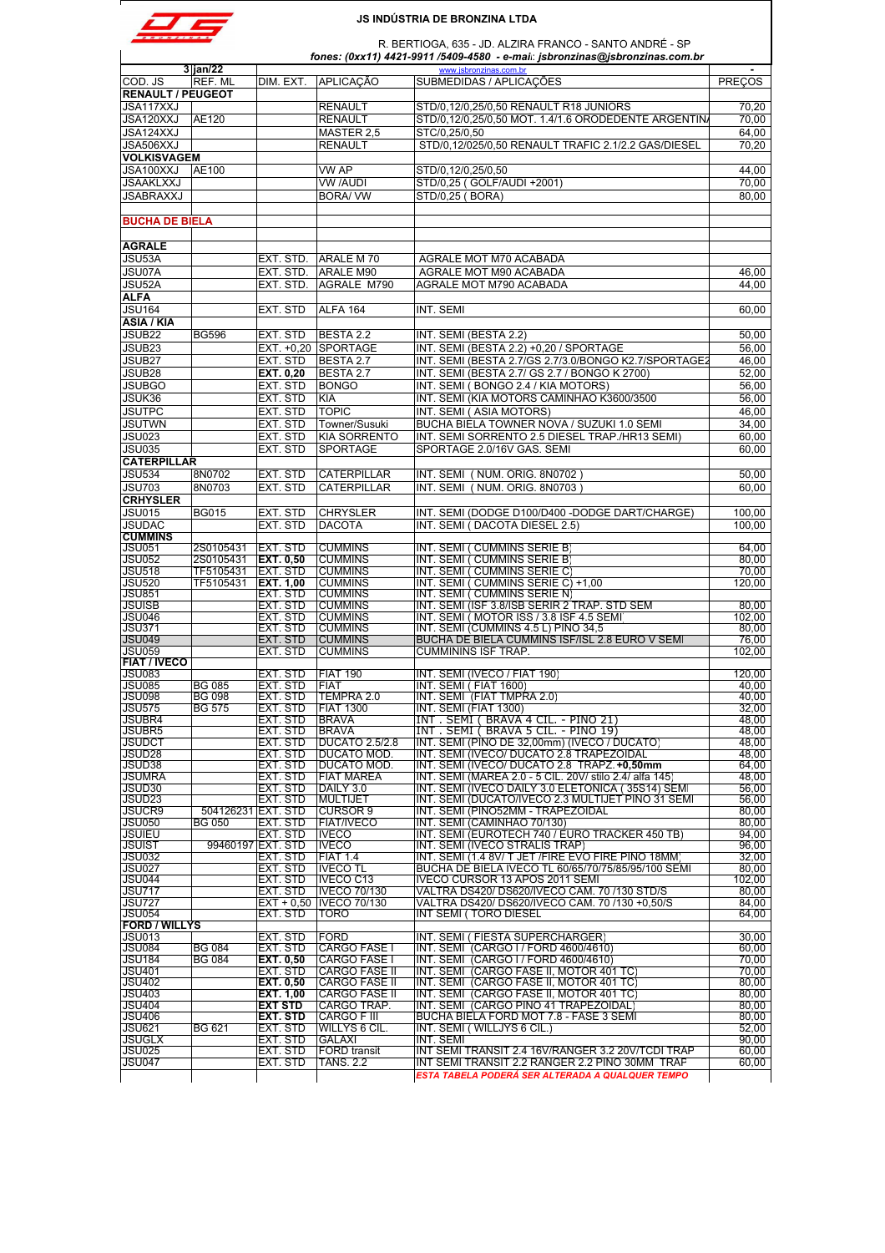|  | RONZINA |  |
|--|---------|--|

R. BERTIOGA, 635 - JD. ALZIRA FRANCO - SANTO ANDRÉ - SP

| R. BERTIOGA, 635 - JD. ALZIRA FRANCO - SANTO ANDRE - SP<br>fones: (0xx11) 4421-9911 /5409-4580 - e-mai: jsbronzinas@jsbronzinas.com.br |                                |                               |                                      |                                                                                          |                |  |
|----------------------------------------------------------------------------------------------------------------------------------------|--------------------------------|-------------------------------|--------------------------------------|------------------------------------------------------------------------------------------|----------------|--|
| COD. JS                                                                                                                                | 3 jan/22<br>REF. ML            | DIM. EXT.                     | <b>APLICACÃO</b>                     | www.jsbronzinas.com.br<br>SUBMEDIDAS / APLICAÇÕES                                        | <b>PRECOS</b>  |  |
| <b>RENAULT / PEUGEOT</b>                                                                                                               |                                |                               |                                      |                                                                                          |                |  |
| JSA117XXJ                                                                                                                              |                                |                               | <b>RENAULT</b>                       | STD/0,12/0,25/0,50 RENAULT R18 JUNIORS                                                   | 70,20          |  |
| JSA120XXJ                                                                                                                              | AE120                          |                               | <b>RENAULT</b>                       | STD/0,12/0,25/0,50 MOT. 1.4/1.6 ORODEDENTE ARGENTINA                                     | 70,00          |  |
| JSA124XXJ                                                                                                                              |                                |                               | MASTER 2,5                           | STC/0,25/0,50                                                                            | 64,00          |  |
| JSA506XXJ                                                                                                                              |                                |                               | <b>RENAULT</b>                       | STD/0,12/025/0,50 RENAULT TRAFIC 2.1/2.2 GAS/DIESEL                                      | 70,20          |  |
| <b>VOLKISVAGEM</b>                                                                                                                     |                                |                               |                                      |                                                                                          |                |  |
| JSA100XXJ                                                                                                                              | AE100                          |                               | VW AP                                | STD/0,12/0,25/0,50                                                                       | 44,00          |  |
| JSAAKLXXJ                                                                                                                              |                                |                               | VW /AUDI                             | STD/0,25 (GOLF/AUDI +2001)                                                               | 70,00          |  |
| JSABRAXXJ                                                                                                                              |                                |                               | <b>BORA/ VW</b>                      | STD/0,25 (BORA)                                                                          | 80,00          |  |
| <b>BUCHA DE BIELA</b>                                                                                                                  |                                |                               |                                      |                                                                                          |                |  |
| <b>AGRALE</b>                                                                                                                          |                                |                               |                                      |                                                                                          |                |  |
| JSU53A                                                                                                                                 |                                | EXT. STD.                     | ARALE M70                            | AGRALE MOT M70 ACABADA                                                                   |                |  |
| JSU07A                                                                                                                                 |                                | EXT. STD.                     | ARALE M90                            | AGRALE MOT M90 ACABADA                                                                   | 46,00          |  |
| JSU52A                                                                                                                                 |                                | EXT. STD.                     | AGRALE M790                          | AGRALE MOT M790 ACABADA                                                                  | 44.00          |  |
| <b>ALFA</b>                                                                                                                            |                                |                               |                                      |                                                                                          |                |  |
| JSU164                                                                                                                                 |                                | EXT. STD                      | <b>ALFA 164</b>                      | INT. SEMI                                                                                | 60,00          |  |
| <b>ASIA / KIA</b>                                                                                                                      |                                |                               |                                      |                                                                                          |                |  |
| JSUB22                                                                                                                                 | <b>BG596</b>                   | EXT. STD                      | BESTA 2.2                            | INT. SEMI (BESTA 2.2)                                                                    | 50,00          |  |
| JSUB23                                                                                                                                 |                                | EXT. +0,20                    | <b>SPORTAGE</b>                      | INT. SEMI (BESTA 2.2) +0,20 / SPORTAGE                                                   | 56,00          |  |
| JSUB27                                                                                                                                 |                                | EXT. STD                      | BESTA 2.7                            | INT. SEMI (BESTA 2.7/GS 2.7/3.0/BONGO K2.7/SPORTAGE2                                     | 46,00          |  |
| JSUB28                                                                                                                                 |                                | EXT. 0,20                     | BESTA 2.7                            | INT. SEMI (BESTA 2.7/ GS 2.7 / BONGO K 2700)                                             | 52,00          |  |
| <b>JSUBGO</b>                                                                                                                          |                                | EXT. STD                      | <b>BONGO</b>                         | INT. SEMI (BONGO 2.4 / KIA MOTORS)                                                       | 56,00          |  |
| JSUK36                                                                                                                                 |                                | EXT. STD                      | KIA                                  | INT. SEMI (KIA MOTORS CAMINHÃO K3600/3500                                                | 56.00          |  |
| <b>JSUTPC</b>                                                                                                                          |                                | EXT. STD                      | <b>TOPIC</b>                         | INT. SEMI (ASIA MOTORS)                                                                  | 46,00          |  |
| JSUTWN                                                                                                                                 |                                | EXT. STD                      | Towner/Susuki                        | BUCHA BIELA TOWNER NOVA / SUZUKI 1.0 SEMI                                                | 34,00          |  |
| JSU023                                                                                                                                 |                                | EXT. STD                      | <b>KIA SORRENTO</b>                  | INT. SEMI SORRENTO 2.5 DIESEL TRAP./HR13 SEMI)                                           | 60,00          |  |
| JSU035                                                                                                                                 |                                | EXT. STD                      | <b>SPORTAGE</b>                      | SPORTAGE 2.0/16V GAS. SEMI                                                               | 60.00          |  |
| <b>CATERPILLAR</b>                                                                                                                     |                                |                               |                                      |                                                                                          |                |  |
| <b>JSU534</b>                                                                                                                          | 8N0702                         | EXT. STD                      | <b>CATERPILLAR</b>                   | INT. SEMI (NUM. ORIG. 8N0702)                                                            | 50,00          |  |
| JSU703                                                                                                                                 | 8N0703                         | EXT. STD                      | <b>CATERPILLAR</b>                   | INT. SEMI ( NUM. ORIG. 8N0703 )                                                          | 60.00          |  |
| <b>CRHYSLER</b>                                                                                                                        |                                |                               |                                      |                                                                                          |                |  |
| JSU015                                                                                                                                 | <b>BG015</b>                   | EXT. STD                      | <b>CHRYSLER</b>                      | INT. SEMI (DODGE D100/D400 -DODGE DART/CHARGE)                                           | 100,00         |  |
| <b>JSUDAC</b><br><b>CUMMINS</b>                                                                                                        |                                | EXT. STD                      | <b>DACOTA</b>                        | INT. SEMI (DACOTA DIESEL 2.5)                                                            | 100.00         |  |
| <b>JSU051</b>                                                                                                                          | 2S0105431                      | EXT. STD                      | <b>CUMMINS</b>                       | INT. SEMI ( CUMMINS SERIE B)                                                             | 64,00          |  |
| <b>JSU052</b>                                                                                                                          | 2S0105431                      | <b>IEXT. 0,50</b>             | <b>CUMMINS</b>                       | INT. SEMI ( CUMMINS SERIE B)                                                             | 80.00          |  |
| <b>JSU518</b>                                                                                                                          | TF5105431                      | EXT. STD                      | <b>CUMMINS</b>                       | INT. SEMI ( CUMMINS SERIE C)                                                             | 70,00          |  |
| JSU520                                                                                                                                 | TF5105431                      | EXT. 1,00                     | <b>CUMMINS</b>                       | INT. SEMI ( CUMMINS SERIE C) +1,00                                                       | 120,00         |  |
| <b>JSU851</b>                                                                                                                          |                                | EXT. STD                      | <b>CUMMINS</b>                       | INT. SEMI ( CUMMINS SERIE N)                                                             |                |  |
| <b>JSUISB</b>                                                                                                                          |                                | EXT. STD                      | <b>CUMMINS</b>                       | INT. SEMI (ISF 3.8/ISB SERIR 2 TRAP. STD SEM                                             | 80,00          |  |
| <b>JSU046</b>                                                                                                                          |                                | EXT. STD                      | <b>CUMMINS</b>                       | INT. SEMI (MOTOR ISS / 3.8 ISF 4.5 SEMI                                                  | 102,00         |  |
| <b>JSU371</b><br><b>JSU049</b>                                                                                                         |                                | EXT. STD                      | <b>CUMMINS</b><br><b>CUMMINS</b>     | INT. SEMI (CUMMINS 4.5 L) PINO 34,5<br>BUCHA DE BIELA CUMMINS ISF/ISL 2.8 EURO V SEMI    | 80,00<br>76.00 |  |
| <b>JSU059</b>                                                                                                                          |                                | EXT. STD<br>EXT. STD          | <b>CUMMINS</b>                       | <b>CUMMININS ISF TRAP.</b>                                                               | 102.00         |  |
| <b>FIAT / IVECO</b>                                                                                                                    |                                |                               |                                      |                                                                                          |                |  |
| <b>JSU083</b>                                                                                                                          |                                | EXT. STD                      | <b>FIAT 190</b>                      | INT. SEMI (IVECO / FIAT 190)                                                             | 120,00         |  |
| <b>JSU085</b>                                                                                                                          | <b>BG 085</b>                  | EXT. STD                      | <b>FIAT</b>                          | INT. SEMI (FIAT 1600)                                                                    | 40,00          |  |
| <b>JSU098</b>                                                                                                                          | <b>BG 098</b>                  | EXT. STD                      | TEMPRA 2.0                           | INT. SEMI (FIAT TMPRA 2.0)                                                               | 40,00          |  |
| <b>JSU575</b>                                                                                                                          | <b>BG 575</b>                  | EXT. STD                      | <b>IFIAT 1300</b>                    | INT. SEMI (FIAT 1300)                                                                    | 32.00          |  |
| <b>JSUBR4</b>                                                                                                                          |                                | EXT. STD                      | <b>BRAVA</b>                         | INT . SEMI ( BRAVA 4 CIL. - PINO 21)                                                     | 48,00          |  |
| <b>JSUBR5</b>                                                                                                                          |                                | EXT. STD                      | <b>BRAVA</b>                         | INT. SEMI (BRAVA 5 CIL. - PINO 19)                                                       | 48.00          |  |
| <b>JSUDCT</b><br>JSUD <sub>28</sub>                                                                                                    |                                | EXT. STD<br>EXT. STD          | <b>DUCATO 2.5/2.8</b><br>DUCATO MOD. | INT. SEMI (PINO DE 32,00mm) (IVECO / DUCATO)<br>INT. SEMI (IVECO/ DUCATO 2.8 TRAPEZOIDAL | 48,00<br>48,00 |  |
| JSUD38                                                                                                                                 |                                | EXT. STD                      | DUCATO MOD.                          | INT. SEMI (IVECO/ DUCATO 2.8 TRAPZ. +0,50mm                                              | 64,00          |  |
| <b>JSUMRA</b>                                                                                                                          |                                | EXT. STD                      | <b>FIAT MAREA</b>                    | INT. SEMI (MAREA 2.0 - 5 CIL. 20V/ stilo 2.4/ alfa 145)                                  | 48,00          |  |
| JSUD30                                                                                                                                 |                                | EXT. STD                      | DAILY 3.0                            | INT. SEMI (IVECO DAILY 3.0 ELETONICA (35S14) SEMI                                        | 56,00          |  |
| JSUD23                                                                                                                                 |                                | EXT. STD                      | <b>MULTIJET</b>                      | INT. SEMI (DUCATO/IVECO 2.3 MULTIJET PINO 31 SEMI                                        | 56.00          |  |
| <b>JSUCR9</b>                                                                                                                          | 504126231 EXT. STD             |                               | <b>CURSOR 9</b>                      | INT. SEMI (PINO52MM - TRAPEZOIDAL                                                        | 80,00          |  |
| <b>JSU050</b>                                                                                                                          | <b>BG 050</b>                  | EXT. STD                      | <b>FIAT/IVECO</b>                    | INT. SEMI (CAMINHAO 70/130)                                                              | 80,00          |  |
| <b>JSUIEU</b>                                                                                                                          |                                | EXT. STD                      | <b>IVECO</b>                         | INT. SEMI (EUROTECH 740 / EURO TRACKER 450 TB)                                           | 94,00          |  |
| JSUIST<br><b>JSU032</b>                                                                                                                |                                | 99460197 EXT. STD<br>EXT. STD | <b>IVECO</b><br><b>FIAT 1.4</b>      | INT. SEMI (IVECO STRALIS TRAP)<br>INT. SEMI (1.4 8V/ T JET / FIRE EVO FIRE PINO 18MM     | 96,00<br>32,00 |  |
| JSU027                                                                                                                                 |                                | EXT. STD                      | <b>IVECO TL</b>                      | BUCHA DE BIELA IVECO TL 60/65/70/75/85/95/100 SEMI                                       | 80,00          |  |
| <b>JSU044</b>                                                                                                                          |                                | EXT. STD                      | <b>IVECO C13</b>                     | IVECO CURSOR 13 APOS 2011 SEMI                                                           | 102,00         |  |
| <b>JSU717</b>                                                                                                                          |                                | EXT. STD                      | <b>IVECO 70/130</b>                  | VALTRA DS420/ DS620/IVECO CAM. 70 /130 STD/S                                             | 80,00          |  |
| <b>JSU727</b>                                                                                                                          |                                | $EXT + 0.50$                  | <b>IVECO 70/130</b>                  | VALTRA DS420/ DS620/IVECO CAM. 70 /130 +0,50/S                                           | 84,00          |  |
| <b>JSU054</b>                                                                                                                          |                                | EXT. STD                      | TORO                                 | INT SEMI (TORO DIESEL                                                                    | 64,00          |  |
| <b>FORD / WILLYS</b>                                                                                                                   |                                |                               |                                      |                                                                                          |                |  |
| <b>JSU013</b>                                                                                                                          |                                | EXT. STD                      | <b>FORD</b>                          | INT. SEMI (FIESTA SUPERCHARGER)                                                          | 30,00          |  |
| <b>JSU084</b><br><b>JSU184</b>                                                                                                         | <b>BG 084</b><br><b>BG 084</b> | EXT. STD<br>EXT. 0,50         | <b>CARGO FASE I</b><br>CARGO FASE I  | INT. SEMI (CARGO I / FORD 4600/4610)<br>INT. SEMI (CARGO I / FORD 4600/4610)             | 60,00<br>70,00 |  |
| <b>JSU401</b>                                                                                                                          |                                | EXT. STD                      | <b>CARGO FASE II</b>                 | INT. SEMI (CARGO FASE II, MOTOR 401 TC)                                                  | 70,00          |  |
| <b>JSU402</b>                                                                                                                          |                                | EXT. 0.50                     | <b>CARGO FASE II</b>                 | INT. SEMI (CARGO FASE II, MOTOR 401 TC)                                                  | 80,00          |  |
| <b>JSU403</b>                                                                                                                          |                                | <b>EXT. 1,00</b>              | <b>CARGO FASE II</b>                 | INT. SEMI (CARGO FASE II, MOTOR 401 TC)                                                  | 80,00          |  |
| <b>JSU404</b>                                                                                                                          |                                | <b>EXT STD</b>                | CARGO TRAP.                          | INT. SEMI (CARGO PINO 41 TRAPEZOIDAL)                                                    | 80,00          |  |
| <b>JSU406</b>                                                                                                                          |                                | <b>EXT. STD</b>               | CARGO F III                          | BUCHA BIELA FORD MOT 7.8 - FASE 3 SEMI                                                   | 80,00          |  |
| <b>JSU621</b>                                                                                                                          | <b>BG 621</b>                  | EXT. STD                      | WILLYS 6 CIL.                        | INT. SEMI (WILLJYS 6 CIL.)                                                               | 52,00          |  |
| <b>JSUGLX</b>                                                                                                                          |                                | EXT. STD                      | <b>GALAXI</b>                        | INT. SEMI                                                                                | 90,00          |  |
| JSU025                                                                                                                                 |                                | EXT. STD                      | FORD transit                         | INT SEMI TRANSIT 2.4 16V/RANGER 3.2 20V/TCDI TRAP                                        | 60,00          |  |
| <b>JSU047</b>                                                                                                                          |                                | EXT. STD                      | <b>TANS. 2.2</b>                     | INT SEMI TRANSIT 2.2 RANGER 2.2 PINO 30MM TRAP                                           | 60,00          |  |
|                                                                                                                                        |                                |                               |                                      | ESTA TABELA PODERÁ SER ALTERADA A QUALQUER TEMPO                                         |                |  |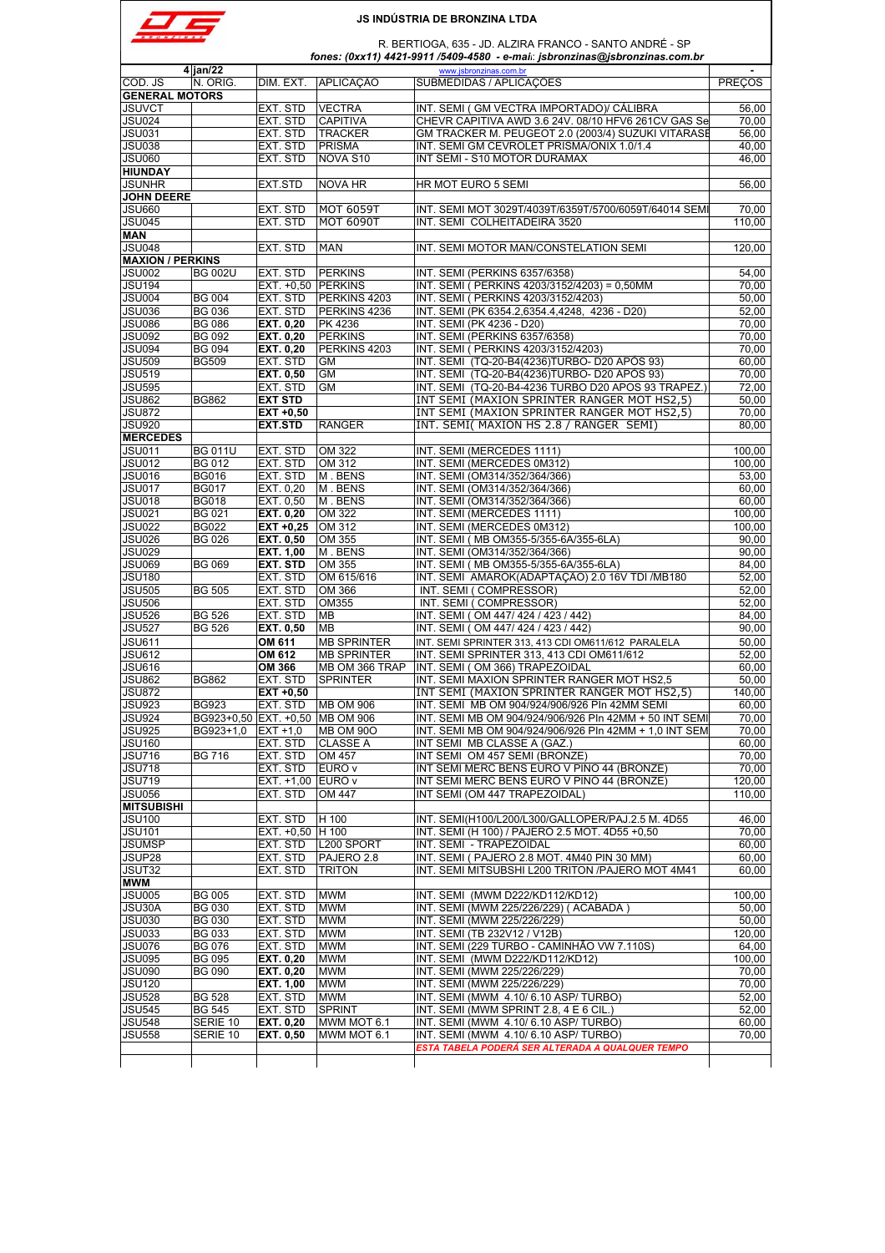| <b>BRONZINA</b> |  |
|-----------------|--|

 R. BERTIOGA, 635 - JD. ALZIRA FRANCO - SANTO ANDRÉ - SP  *fones: (0xx11) 4421-9911 /5409-4580 - e-mail*: *jsbronzinas@jsbronzinas.com.br*

|                                                                                                                              | $4$ jan/22                      |                    |                    | www.jsbronzinas.com.br                                                                    |                                                               |
|------------------------------------------------------------------------------------------------------------------------------|---------------------------------|--------------------|--------------------|-------------------------------------------------------------------------------------------|---------------------------------------------------------------|
| COD. JS                                                                                                                      | N. ORIG.                        | DIM. EXT.          | APLICACÃO          | SUBMEDIDAS / APLICAÇÕES                                                                   | <b>PRECOS</b>                                                 |
| <b>GENERAL MOTORS</b>                                                                                                        |                                 |                    |                    |                                                                                           |                                                               |
|                                                                                                                              |                                 | EXT. STD           | <b>VECTRA</b>      | INT. SEMI (GM VECTRA IMPORTADO)/ CÁLIBRA                                                  |                                                               |
| JSUVCT                                                                                                                       |                                 |                    |                    |                                                                                           | 56,00                                                         |
| <b>JSU024</b>                                                                                                                |                                 | EXT. STD           | <b>CAPITIVA</b>    | CHEVR CAPITIVA AWD 3.6 24V. 08/10 HFV6 261CV GAS Se                                       | 70,00                                                         |
| <b>JSU031</b>                                                                                                                |                                 | EXT. STD           | <b>TRACKER</b>     | GM TRACKER M. PEUGEOT 2.0 (2003/4) SUZUKI VITARASE                                        | 56,00                                                         |
| <b>JSU038</b>                                                                                                                |                                 | EXT. STD           | <b>PRISMA</b>      | INT. SEMI GM CEVROLET PRISMA/ONIX 1.0/1.4                                                 | 40,00                                                         |
| <b>JSU060</b>                                                                                                                |                                 | EXT. STD           | NOVA S10           | INT SEMI - S10 MOTOR DURAMAX                                                              | 46,00                                                         |
| <b>HIUNDAY</b>                                                                                                               |                                 |                    |                    |                                                                                           |                                                               |
| JSUNHR                                                                                                                       |                                 | <b>EXT.STD</b>     | <b>NOVA HR</b>     | HR MOT EURO 5 SEMI                                                                        | 56,00                                                         |
| <b>JOHN DEERE</b>                                                                                                            |                                 |                    |                    |                                                                                           |                                                               |
| <b>JSU660</b>                                                                                                                |                                 | EXT. STD           | <b>MOT 6059T</b>   | INT. SEMI MOT 3029T/4039T/6359T/5700/6059T/64014 SEMI                                     | 70,00                                                         |
| <b>JSU045</b>                                                                                                                |                                 | EXT. STD           | <b>MOT 6090T</b>   | INT. SEMI COLHEITADEIRA 3520                                                              | 110,00                                                        |
| MAN                                                                                                                          |                                 |                    |                    |                                                                                           |                                                               |
| <b>JSU048</b>                                                                                                                |                                 | EXT. STD           | <b>MAN</b>         | INT. SEMI MOTOR MAN/CONSTELATION SEMI                                                     | 120,00                                                        |
| <b>MAXION / PERKINS</b>                                                                                                      |                                 |                    |                    |                                                                                           |                                                               |
| JSU002                                                                                                                       | <b>BG 002U</b>                  | EXT. STD           | <b>PERKINS</b>     | INT. SEMI (PERKINS 6357/6358)                                                             | 54,00                                                         |
|                                                                                                                              |                                 |                    |                    |                                                                                           |                                                               |
| JSU194                                                                                                                       |                                 | EXT. +0,50 PERKINS |                    | INT. SEMI ( PERKINS 4203/3152/4203) = 0,50MM                                              | 70,00                                                         |
| <b>JSU004</b>                                                                                                                | <b>BG 004</b>                   | EXT. STD           | PERKINS 4203       | INT. SEMI ( PERKINS 4203/3152/4203)                                                       | 50,00                                                         |
| JSU036                                                                                                                       | <b>BG 036</b>                   | EXT. STD           | PERKINS 4236       | INT. SEMI (PK 6354.2,6354.4,4248, 4236 - D20)                                             | 52,00                                                         |
| JSU086                                                                                                                       | <b>BG 086</b>                   | EXT. 0,20          | PK 4236            | INT. SEMI (PK 4236 - D20)                                                                 | 70,00                                                         |
| <b>JSU092</b>                                                                                                                | <b>BG 092</b>                   | EXT. 0,20          | <b>PERKINS</b>     | INT. SEMI (PERKINS 6357/6358)                                                             | 70,00                                                         |
| JSU094                                                                                                                       | <b>BG 094</b>                   | <b>EXT. 0.20</b>   | PERKINS 4203       | INT. SEMI ( PERKINS 4203/3152/4203)                                                       | 70,00                                                         |
| <b>JSU509</b>                                                                                                                | <b>BG509</b>                    | EXT. STD           | <b>GM</b>          | INT. SEMI (TQ-20-B4(4236)TURBO- D20 APÓS 93)                                              | 60,00                                                         |
| <b>JSU519</b>                                                                                                                |                                 | <b>EXT. 0,50</b>   | GM                 | INT. SEMI (TQ-20-B4(4236)TURBO- D20 APÓS 93)                                              | 70,00                                                         |
| <b>JSU595</b>                                                                                                                |                                 | EXT. STD           | <b>GM</b>          | INT. SEMI (TQ-20-B4-4236 TURBO D20 APOS 93 TRAPEZ.)                                       | 72,00                                                         |
| JSU862                                                                                                                       | <b>BG862</b>                    | <b>EXT STD</b>     |                    | INT SEMI (MAXION SPRINTER RANGER MOT HS2,5)                                               | 50.00                                                         |
| <b>JSU872</b>                                                                                                                |                                 | $EXT +0,50$        |                    | INT SEMI (MAXION SPRINTER RANGER MOT HS2,5)                                               | 70,00                                                         |
|                                                                                                                              |                                 |                    |                    |                                                                                           |                                                               |
| <b>JSU920</b>                                                                                                                |                                 | <b>EXT.STD</b>     | <b>RANGER</b>      | INT. SEMI( MAXION HS 2.8 / RANGER SEMI)                                                   | 80,00                                                         |
| <b>MERCEDES</b>                                                                                                              |                                 |                    |                    |                                                                                           |                                                               |
| <b>JSU011</b>                                                                                                                | <b>BG 011U</b>                  | EXT. STD           | OM 322             | INT. SEMI (MERCEDES 1111)                                                                 | 100,00                                                        |
| <b>JSU012</b>                                                                                                                | <b>BG 012</b>                   | EXT. STD           | OM 312             | INT. SEMI (MERCEDES 0M312)                                                                | 100.00                                                        |
| JSU016                                                                                                                       | <b>BG016</b>                    | EXT. STD           | M. BENS            | INT. SEMI (OM314/352/364/366)                                                             | 53.00                                                         |
| <b>JSU017</b>                                                                                                                | <b>BG017</b>                    | EXT. 0,20          | M. BENS            | INT. SEMI (OM314/352/364/366)                                                             | 60,00                                                         |
| <b>JSU018</b>                                                                                                                | <b>BG018</b>                    | EXT. 0,50          | M. BENS            | INT. SEMI (OM314/352/364/366)                                                             | 60,00                                                         |
| JSU021                                                                                                                       | <b>BG 021</b>                   | <b>EXT. 0,20</b>   | OM 322             | INT. SEMI (MERCEDES 1111)                                                                 | 100,00                                                        |
| JSU022                                                                                                                       | <b>BG022</b>                    | $EXT +0.25$        | OM 312             | INT. SEMI (MERCEDES 0M312)                                                                | 100,00                                                        |
| JSU026                                                                                                                       | <b>BG 026</b>                   | <b>EXT. 0,50</b>   | OM 355             | INT. SEMI (MB OM355-5/355-6A/355-6LA)                                                     | 90,00                                                         |
| JSU029                                                                                                                       |                                 | <b>EXT. 1,00</b>   | M. BENS            | INT. SEMI (OM314/352/364/366)                                                             | 90,00                                                         |
| <b>JSU069</b>                                                                                                                | <b>BG 069</b>                   | <b>EXT. STD</b>    | OM 355             | INT. SEMI (MB OM355-5/355-6A/355-6LA)                                                     | 84,00                                                         |
|                                                                                                                              |                                 |                    |                    |                                                                                           |                                                               |
| <b>JSU180</b>                                                                                                                |                                 | EXT. STD           | OM 615/616         | INT. SEMI AMAROK(ADAPTAÇÃO) 2.0 16V TDI / MB180                                           | 52,00                                                         |
| <b>JSU505</b>                                                                                                                | <b>BG 505</b>                   | EXT. STD           | OM 366             | INT. SEMI (COMPRESSOR)                                                                    | 52,00                                                         |
| JSU506                                                                                                                       |                                 | EXT. STD           | OM355              | INT. SEMI (COMPRESSOR)                                                                    | 52,00                                                         |
| JSU526                                                                                                                       | <b>BG 526</b>                   | EXT. STD           | MВ                 | INT. SEMI (OM 447/ 424 / 423 / 442)                                                       | 84,00                                                         |
| <b>JSU527</b>                                                                                                                | <b>BG 526</b>                   | <b>EXT. 0,50</b>   | <b>MB</b>          | INT. SEMI (OM 447/ 424 / 423 / 442)                                                       | 90,00                                                         |
| <b>JSU611</b>                                                                                                                |                                 | OM 611             | <b>MB SPRINTER</b> | INT. SEMI SPRINTER 313, 413 CDI OM611/612 PARALELA                                        | 50.00                                                         |
| JSU612                                                                                                                       |                                 | OM 612             | <b>MB SPRINTER</b> | INT. SEMI SPRINTER 313, 413 CDI OM611/612                                                 | 52.00                                                         |
| JSU616                                                                                                                       |                                 | OM 366             | MB OM 366 TRAP     | INT. SEMI (OM 366) TRAPEZOIDAL                                                            | 60,00                                                         |
| <b>JSU862</b>                                                                                                                | <b>BG862</b>                    | EXT. STD           | <b>SPRINTER</b>    | INT. SEMI MAXION SPRINTER RANGER MOT HS2.5                                                | 50,00                                                         |
| JSU872                                                                                                                       |                                 | $EXT +0,50$        |                    | INT SEMI (MAXION SPRINTER RANGER MOT HS2,5)                                               | 140,00                                                        |
| JSU923                                                                                                                       | <b>BG923</b>                    |                    | <b>MB OM 906</b>   | INT. SEMI MB OM 904/924/906/926 PIn 42MM SEMI                                             |                                                               |
|                                                                                                                              |                                 | EXT. STD           |                    |                                                                                           | 60,00                                                         |
| <b>JSU924</b>                                                                                                                | BG923+0,50 EXT. +0,50 MB OM 906 |                    |                    | INT. SEMI MB OM 904/924/906/926 PIn 42MM + 50 INT SEMI                                    | 70,00                                                         |
| JSU925                                                                                                                       | BG923+1,0                       | $ EXI + 1,0 $      | IMB OM 900         | IN L. SEMI MB OM 904/924/906/926 PIn 42MM + 1,0 IN L SEMI                                 | 70,00                                                         |
| JSU160                                                                                                                       |                                 | EXT. STD           | <b>CLASSE A</b>    | INT SEMI MB CLASSE A (GAZ.)                                                               | 60.00                                                         |
| JSU716                                                                                                                       | <b>BG 716</b>                   | EXT. STD           | OM 457             | INT SEMI OM 457 SEMI (BRONZE)                                                             | 70,00                                                         |
| JSU718                                                                                                                       |                                 | EXT. STD           | EURO v             | INT SEMI MERC BENS EURO V PINO 44 (BRONZE)                                                | 70,00                                                         |
| <b>JSU719</b>                                                                                                                |                                 | EXT. +1,00 EURO v  |                    | INT SEMI MERC BENS EURO V PINO 44 (BRONZE)                                                | 120,00                                                        |
| JSU056                                                                                                                       |                                 | EXT. STD           | OM 447             | INT SEMI (OM 447 TRAPEZOIDAL)                                                             | 110.00                                                        |
| <b>MITSUBISHI</b>                                                                                                            |                                 |                    |                    |                                                                                           |                                                               |
| <b>JSU100</b>                                                                                                                |                                 | EXT. STD           | H 100              | INT. SEMI(H100/L200/L300/GALLOPER/PAJ.2.5 M. 4D55                                         | 46,00                                                         |
| <b>JSU101</b>                                                                                                                |                                 | EXT. +0,50 H 100   |                    | INT. SEMI (H 100) / PAJERO 2.5 MOT. 4D55 +0,50                                            | 70,00                                                         |
| <b>JSUMSP</b>                                                                                                                |                                 | EXT. STD           | L200 SPORT         | INT. SEMI - TRAPEZOIDAL                                                                   | 60,00                                                         |
| JSUP28                                                                                                                       |                                 | EXT. STD           | PAJERO 2.8         | INT. SEMI (PAJERO 2.8 MOT. 4M40 PIN 30 MM)                                                | 60,00                                                         |
|                                                                                                                              |                                 |                    |                    |                                                                                           |                                                               |
| JSUT32                                                                                                                       |                                 | EXT. STD           | <b>TRITON</b>      | INT. SEMI MITSUBSHI L200 TRITON /PAJERO MOT 4M41                                          | 60,00                                                         |
| MWM                                                                                                                          |                                 |                    |                    |                                                                                           |                                                               |
|                                                                                                                              | <b>BG 005</b>                   | EXT. STD           | <b>MWM</b>         | INT. SEMI (MWM D222/KD112/KD12)                                                           | 100,00                                                        |
|                                                                                                                              | <b>BG 030</b>                   | EXT. STD           | <b>MWM</b>         | INT. SEMI (MWM 225/226/229) ( ACABADA )                                                   | 50,00                                                         |
|                                                                                                                              |                                 |                    |                    | INT. SEMI (MWM 225/226/229)                                                               | 50,00                                                         |
|                                                                                                                              | <b>BG 030</b>                   | EXT. STD           | <b>MWM</b>         |                                                                                           |                                                               |
|                                                                                                                              | <b>BG 033</b>                   | EXT. STD           | <b>MWM</b>         | INT. SEMI (TB 232V12 / V12B)                                                              |                                                               |
|                                                                                                                              | <b>BG 076</b>                   | EXT. STD           | <b>MWM</b>         | INT. SEMI (229 TURBO - CAMINHÃO VW 7.110S)                                                |                                                               |
|                                                                                                                              | <b>BG 095</b>                   |                    | <b>MWM</b>         | INT. SEMI (MWM D222/KD112/KD12)                                                           |                                                               |
|                                                                                                                              |                                 | <b>EXT. 0,20</b>   |                    |                                                                                           |                                                               |
|                                                                                                                              | <b>BG 090</b>                   | EXT. 0,20          | <b>MWM</b>         | INT. SEMI (MWM 225/226/229)                                                               |                                                               |
|                                                                                                                              |                                 | EXT. 1,00          | MWM                | INT. SEMI (MWM 225/226/229)                                                               |                                                               |
|                                                                                                                              | <b>BG 528</b>                   | EXT. STD           | <b>MWM</b>         | INT. SEMI (MWM 4.10/6.10 ASP/TURBO)                                                       |                                                               |
| JSU005<br><b>JSU30A</b><br>JSU030<br>JSU033<br>JSU076<br>JSU095<br>JSU090<br><b>JSU120</b><br><b>JSU528</b><br><b>JSU545</b> | <b>BG 545</b>                   | EXT. STD           | <b>SPRINT</b>      | INT. SEMI (MWM SPRINT 2.8, 4 E 6 CIL.)                                                    | 120,00<br>64,00<br>100,00<br>70,00<br>70,00<br>52,00<br>52,00 |
| JSU548                                                                                                                       | SERIE 10                        | <b>EXT. 0,20</b>   | MWM MOT 6.1        | INT. SEMI (MWM 4.10/6.10 ASP/TURBO)                                                       | 60,00                                                         |
| <b>JSU558</b>                                                                                                                | SERIE 10                        | <b>EXT. 0.50</b>   | MWM MOT 6.1        | INT. SEMI (MWM 4.10/ 6.10 ASP/ TURBO)<br>ESTA TABELA PODERÁ SER ALTERADA A QUALQUER TEMPO | 70,00                                                         |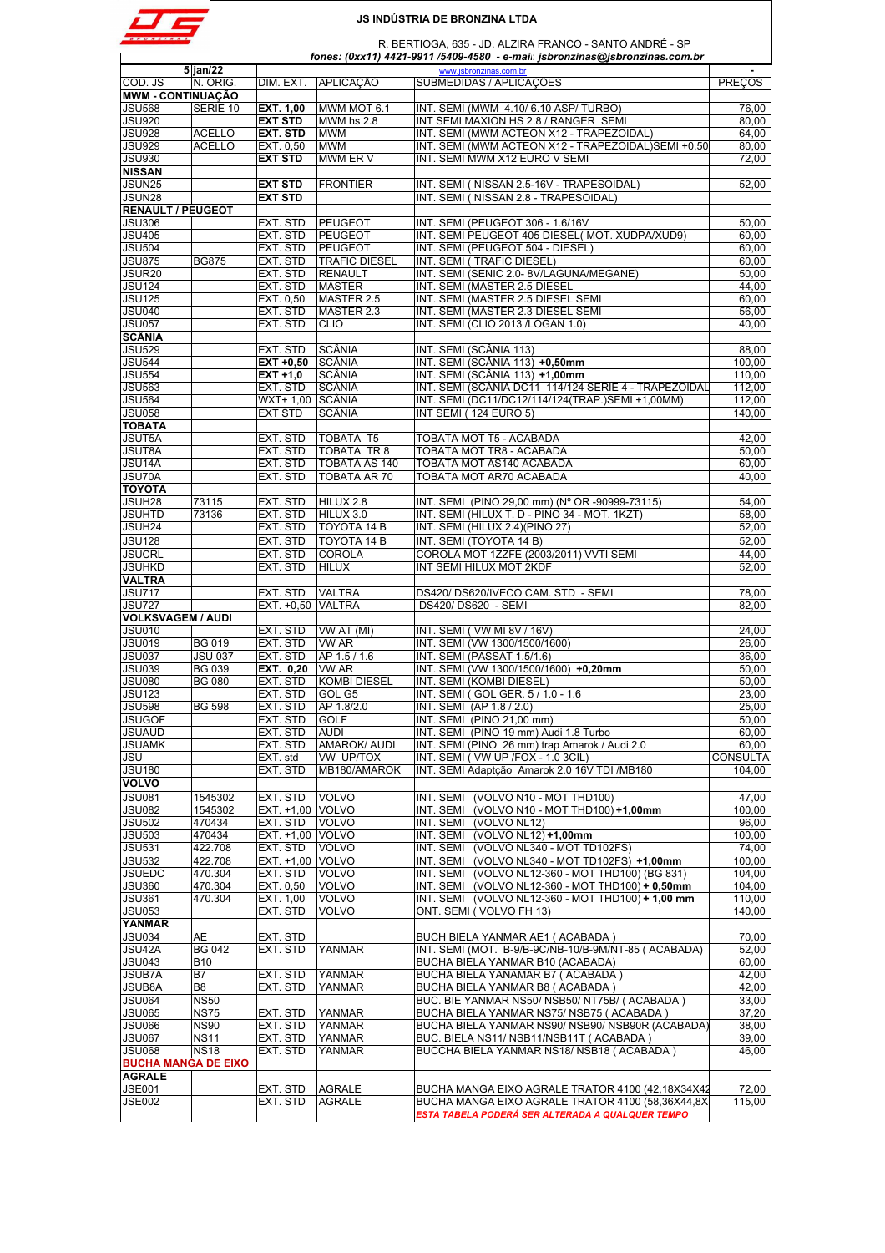

 R. BERTIOGA, 635 - JD. ALZIRA FRANCO - SANTO ANDRÉ - SP  *fones: (0xx11) 4421-9911 /5409-4580 - e-mail*: *jsbronzinas@jsbronzinas.com.br*

|                                | $5$ jan/22     |                         |                      | www.jsbronzinas.com.br                               |                 |
|--------------------------------|----------------|-------------------------|----------------------|------------------------------------------------------|-----------------|
| COD. JS                        | N. ORIG.       | DIM. EXT.               | APLICACÃO            | SUBMEDIDAS / APLICAÇÕES                              | <b>PREÇOS</b>   |
| <b>MWM - CONTINUAÇÃO</b>       |                |                         |                      |                                                      |                 |
|                                | SERIE 10       |                         |                      | INT. SEMI (MWM 4.10/6.10 ASP/TURBO)                  |                 |
| <b>JSU568</b>                  |                | <b>EXT. 1,00</b>        | MWM MOT 6.1          |                                                      | 76,00           |
| <b>JSU920</b>                  |                | <b>EXT STD</b>          | MWM hs 2.8           | INT SEMI MAXION HS 2.8 / RANGER SEMI                 | 80.00           |
| <b>JSU928</b>                  | <b>ACELLO</b>  | <b>EXT. STD</b>         | <b>MWM</b>           | INT. SEMI (MWM ACTEON X12 - TRAPEZOIDAL)             | 64,00           |
| <b>JSU929</b>                  | <b>ACELLO</b>  | EXT. 0,50               | <b>MWM</b>           | INT. SEMI (MWM ACTEON X12 - TRAPEZOIDAL)SEMI +0,50   | 80,00           |
| <b>JSU930</b>                  |                | <b>EXT STD</b>          | MWM ER V             | INT. SEMI MWM X12 EURO V SEMI                        | 72,00           |
| <b>NISSAN</b>                  |                |                         |                      |                                                      |                 |
|                                |                |                         |                      |                                                      |                 |
| JSUN25                         |                | <b>EXT STD</b>          | <b>FRONTIER</b>      | INT. SEMI (NISSAN 2.5-16V - TRAPESOIDAL)             | 52,00           |
| JSUN28                         |                | <b>EXT STD</b>          |                      | INT. SEMI ( NISSAN 2.8 - TRAPESOIDAL)                |                 |
| <b>RENAULT / PEUGEOT</b>       |                |                         |                      |                                                      |                 |
| <b>JSU306</b>                  |                | EXT. STD                | PEUGEOT              | INT. SEMI (PEUGEOT 306 - 1.6/16V                     | 50,00           |
| <b>JSU405</b>                  |                | EXT. STD                | <b>PEUGEOT</b>       | INT. SEMI PEUGEOT 405 DIESEL( MOT. XUDPA/XUD9)       | 60,00           |
| <b>JSU504</b>                  |                |                         |                      | INT. SEMI (PEUGEOT 504 - DIESEL)                     | 60,00           |
|                                |                | EXT. STD                | <b>PEUGEOT</b>       |                                                      |                 |
| <b>JSU875</b>                  | <b>BG875</b>   | EXT. STD                | <b>TRAFIC DIESEL</b> | INT. SEMI (TRAFIC DIESEL)                            | 60,00           |
| JSUR <sub>20</sub>             |                | EXT. STD                | <b>RENAULT</b>       | INT. SEMI (SENIC 2.0-8V/LAGUNA/MEGANE)               | 50,00           |
| <b>JSU124</b>                  |                | EXT. STD                | <b>MASTER</b>        | INT. SEMI (MASTER 2.5 DIESEL                         | 44,00           |
| <b>JSU125</b>                  |                | EXT. 0,50               | MASTER 2.5           | INT. SEMI (MASTER 2.5 DIESEL SEMI                    | 60,00           |
| <b>JSU040</b>                  |                | EXT. STD                | MASTER 2.3           | INT. SEMI (MASTER 2.3 DIESEL SEMI                    | 56,00           |
|                                |                |                         |                      |                                                      |                 |
| <b>JSU057</b>                  |                | EXT. STD                | <b>CLIO</b>          | INT. SEMI (CLIO 2013 /LOGAN 1.0)                     | 40,00           |
| <b>SCÂNIA</b>                  |                |                         |                      |                                                      |                 |
| <b>JSU529</b>                  |                | EXT. STD                | SCÂNIA               | INT. SEMI (SCÂNIA 113)                               | 88,00           |
| <b>JSU544</b>                  |                | $EXT +0.50$             | SCÂNIA               | INT. SEMI (SCÂNIA 113) +0,50mm                       | 100.00          |
| <b>JSU554</b>                  |                | $EXT +1,0$              | SCÂNIA               | INT. SEMI (SCÂNIA 113) +1,00mm                       | 110,00          |
|                                |                | EXT. STD                | SCÂNIA               |                                                      |                 |
| <b>JSU563</b>                  |                |                         |                      | INT. SEMI (SCÂNIA DC11 114/124 SERIE 4 - TRAPEZOIDAL | 112,00          |
| <b>JSU564</b>                  |                | WXT+ 1,00 SCÂNIA        |                      | INT. SEMI (DC11/DC12/114/124(TRAP.)SEMI +1,00MM)     | 112,00          |
| <b>JSU058</b>                  |                | <b>EXT STD</b>          | SCÂNIA               | INT SEMI (124 EURO 5)                                | 140,00          |
| <b>TOBATA</b>                  |                |                         |                      |                                                      |                 |
| <b>JSUT5A</b>                  |                | EXT. STD                | <b>TOBATA T5</b>     | TOBATA MOT T5 - ACABADA                              | 42,00           |
|                                |                |                         |                      |                                                      |                 |
| <b>JSUT8A</b>                  |                | EXT. STD                | <b>TOBATA TR 8</b>   | TOBATA MOT TR8 - ACABADA                             | 50,00           |
| JSU14A                         |                | EXT. STD                | TOBATA AS 140        | TOBATA MOT AS140 ACABADA                             | 60,00           |
| JSU70A                         |                | EXT. STD                | <b>TOBATA AR 70</b>  | TOBATA MOT AR70 ACABADA                              | 40,00           |
| <b>TOYOTA</b>                  |                |                         |                      |                                                      |                 |
| JSUH28                         | 73115          | EXT. STD                | HILUX 2.8            | INT. SEMI (PINO 29,00 mm) (N° OR -90999-73115)       | 54,00           |
|                                |                |                         |                      |                                                      |                 |
| <b>JSUHTD</b>                  | 73136          | EXT. STD                | HILUX 3.0            | INT. SEMI (HILUX T. D - PINO 34 - MOT. 1KZT)         | 58,00           |
| JSUH24                         |                | EXT. STD                | TOYOTA 14 B          | INT. SEMI (HILUX 2.4)(PINO 27)                       | 52,00           |
| <b>JSU128</b>                  |                | EXT. STD                | TOYOTA 14 B          | INT. SEMI (TOYOTA 14 B)                              | 52,00           |
| <b>JSUCRL</b>                  |                | EXT. STD                | <b>COROLA</b>        | COROLA MOT 1ZZFE (2003/2011) VVTI SEMI               | 44,00           |
|                                |                |                         |                      |                                                      |                 |
| <b>JSUHKD</b>                  |                | EXT. STD                | <b>HILUX</b>         | INT SEMI HILUX MOT 2KDF                              | 52,00           |
| <b>VALTRA</b>                  |                |                         |                      |                                                      |                 |
| <b>JSU717</b>                  |                | EXT. STD                | <b>VALTRA</b>        | DS420/DS620/IVECO CAM. STD - SEMI                    | 78,00           |
| <b>JSU727</b>                  |                | EXT. +0,50 VALTRA       |                      | DS420/DS620 - SEMI                                   | 82,00           |
| <b>VOLKSVAGEM / AUDI</b>       |                |                         |                      |                                                      |                 |
|                                |                |                         |                      |                                                      |                 |
| <b>JSU010</b>                  |                | EXT. STD                | VW AT (MI)           | INT. SEMI (VW MI 8V / 16V)                           | 24,00           |
| <b>JSU019</b>                  | <b>BG 019</b>  | EXT. STD                | <b>VW AR</b>         | INT. SEMI (VW 1300/1500/1600)                        | 26,00           |
| <b>JSU037</b>                  | <b>JSU 037</b> | EXT. STD                | AP 1.5 / 1.6         | INT. SEMI (PASSAT 1.5/1.6)                           | 36,00           |
| <b>JSU039</b>                  | <b>BG 039</b>  | EXT. 0,20               | VW AR                | INT. SEMI (VW 1300/1500/1600) +0,20mm                | 50,00           |
|                                |                |                         | <b>KOMBI DIESEL</b>  | INT. SEMI (KOMBI DIESEL)                             |                 |
| <b>JSU080</b>                  | <b>BG 080</b>  | EXT. STD                |                      |                                                      | 50,00           |
| <b>JSU123</b>                  |                | EXT. STD                | GOL G5               | INT. SEMI (GOL GER. 5 / 1.0 - 1.6                    | 23,00           |
| <b>JSU598</b>                  | <b>BG 598</b>  | EXT. STD                | AP 1.8/2.0           | INT. SEMI (AP 1.8 / 2.0)                             | 25,00           |
| <b>JSUGOF</b>                  |                | EXT. STD                | <b>GOLF</b>          | INT. SEMI (PINO 21,00 mm)                            | 50,00           |
|                                |                |                         |                      |                                                      |                 |
| <b>JSUAUD</b><br><b>JSUAMK</b> |                | EXI. SID                | AUDI                 | INT. SEMI (PINO 19 mm) Audi 1.8 I urbo               | 60,00           |
|                                |                | EXT. STD                | <b>AMAROK/ AUDI</b>  | INT. SEMI (PINO 26 mm) trap Amarok / Audi 2.0        | 60.00           |
| JSU                            |                | EXT. std                | VW UP/TOX            | INT. SEMI ( VW UP /FOX - 1.0 3CIL)                   | <b>CONSULTA</b> |
| <b>JSU180</b>                  |                | EXT. STD                | MB180/AMAROK         | INT. SEMI Adaptção Amarok 2.0 16V TDI /MB180         | 104,00          |
| <b>VOLVO</b>                   |                |                         |                      |                                                      |                 |
|                                |                |                         |                      |                                                      |                 |
| <b>JSU081</b>                  | 1545302        | EXT. STD                | <b>VOLVO</b>         | INT. SEMI<br>(VOLVO N10 - MOT THD100)                | 47.00           |
| <b>JSU082</b>                  | 1545302        | EXT. +1,00 VOLVO        |                      | INT. SEMI<br>(VOLVO N10 - MOT THD100) +1,00mm        | 100,00          |
| <b>JSU502</b>                  | 470434         | EXT. STD                | <b>VOLVO</b>         | (VOLVO NL12)<br>INT. SEMI                            | 96,00           |
| <b>JSU503</b>                  | 470434         | <b>EXT. +1.00 VOLVO</b> |                      | (VOLVO NL12) +1,00mm<br>INT. SEMI                    | 100.00          |
| <b>JSU531</b>                  | 422.708        | EXT. STD                | <b>VOLVO</b>         | (VOLVO NL340 - MOT TD102FS)<br>INT. SEMI             | 74,00           |
|                                |                |                         |                      |                                                      |                 |
| <b>JSU532</b>                  | 422.708        | EXT. +1,00 VOLVO        |                      | (VOLVO NL340 - MOT TD102FS) +1,00mm<br>INT. SEMI     | 100,00          |
| <b>JSUEDC</b>                  | 470.304        | EXT. STD                | <b>VOLVO</b>         | INT. SEMI<br>(VOLVO NL12-360 - MOT THD100) (BG 831)  | 104,00          |
| <b>JSU360</b>                  | 470.304        | EXT. 0,50               | <b>VOLVO</b>         | (VOLVO NL12-360 - MOT THD100) + 0,50mm<br>INT. SEMI  | 104,00          |
| <b>JSU361</b>                  | 470.304        | EXT. 1,00               | <b>VOLVO</b>         | (VOLVO NL12-360 - MOT THD100) + 1,00 mm<br>INT. SEMI | 110,00          |
| <b>JSU053</b>                  |                | EXT. STD                | <b>VOLVO</b>         | ONT. SEMI (VOLVO FH 13)                              | 140.00          |
|                                |                |                         |                      |                                                      |                 |
| <b>YANMAR</b>                  |                |                         |                      |                                                      |                 |
| <b>JSU034</b>                  | AE             | EXT. STD                |                      | BUCH BIELA YANMAR AE1 (ACABADA)                      | 70,00           |
| JSU <sub>42A</sub>             | <b>BG 042</b>  | EXT. STD                | YANMAR               | INT. SEMI (MOT. B-9/B-9C/NB-10/B-9M/NT-85 (ACABADA)  | 52,00           |
| <b>JSU043</b>                  | <b>B10</b>     |                         |                      | BUCHA BIELA YANMAR B10 (ACABADA)                     | 60.00           |
| <b>JSUB7A</b>                  | B7             | EXT. STD                | <b>YANMAR</b>        | BUCHA BIELA YANAMAR B7 (ACABADA)                     | 42,00           |
|                                |                |                         |                      |                                                      |                 |
| <b>JSUB8A</b>                  | B8             | EXT. STD                | YANMAR               | BUCHA BIELA YANMAR B8 ( ACABADA )                    | 42,00           |
| <b>JSU064</b>                  | <b>NS50</b>    |                         |                      | BUC. BIE YANMAR NS50/ NSB50/ NT75B/ (ACABADA)        | 33,00           |
| <b>JSU065</b>                  | <b>NS75</b>    | EXT. STD                | <b>YANMAR</b>        | BUCHA BIELA YANMAR NS75/NSB75 (ACABADA)              | 37,20           |
| JSU066                         | <b>NS90</b>    | EXT. STD                | YANMAR               | BUCHA BIELA YANMAR NS90/ NSB90/ NSB90R (ACABADA)     | 38,00           |
| <b>JSU067</b>                  | <b>NS11</b>    | EXT. STD                | <b>YANMAR</b>        | BUC. BIELA NS11/ NSB11/NSB11T (ACABADA)              | 39,00           |
|                                |                |                         |                      |                                                      |                 |
| <b>JSU068</b>                  | <b>NS18</b>    | EXT. STD                | <b>YANMAR</b>        | BUCCHA BIELA YANMAR NS18/NSB18 (ACABADA)             | 46,00           |
| <b>BUCHA MANGA DE EIXO</b>     |                |                         |                      |                                                      |                 |
| <b>AGRALE</b>                  |                |                         |                      |                                                      |                 |
| <b>JSE001</b>                  |                | EXT. STD                | <b>AGRALE</b>        | BUCHA MANGA EIXO AGRALE TRATOR 4100 (42,18X34X42     | 72,00           |
| <b>JSE002</b>                  |                |                         |                      |                                                      |                 |
|                                |                | EXT. STD                | <b>AGRALE</b>        | BUCHA MANGA EIXO AGRALE TRATOR 4100 (58,36X44,8X     | 115,00          |
|                                |                |                         |                      | ESTA TABELA PODERÁ SER ALTERADA A QUALQUER TEMPO     |                 |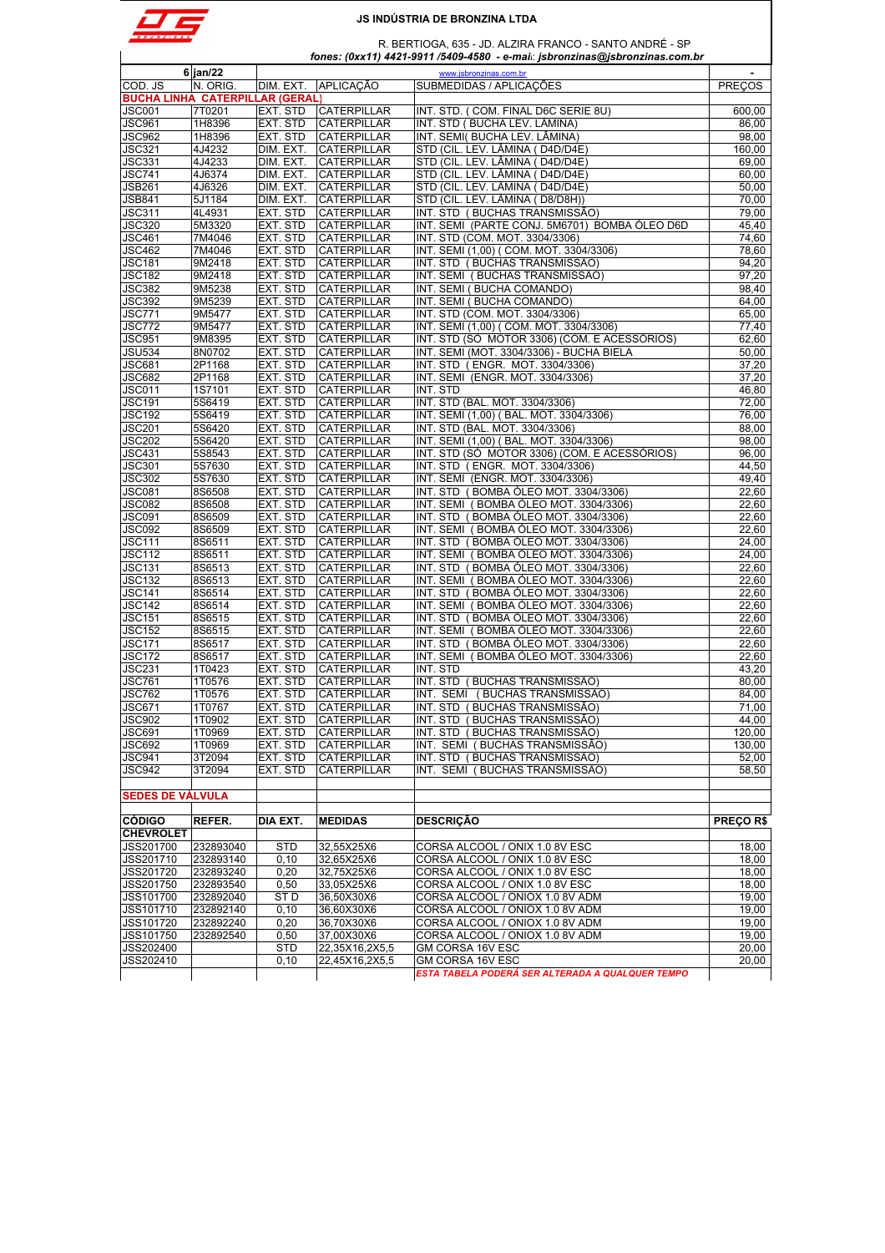

R. BERTIOGA, 635 - JD. ALZIRA FRANCO - SANTO ANDRÉ - SP

 *fones: (0xx11) 4421-9911 /5409-4580 - e-mail*: *jsbronzinas@jsbronzinas.com.br*

|                                        | $6$ jan/22    |                 |                    | www.jsbronzinas.com.br                           |               |
|----------------------------------------|---------------|-----------------|--------------------|--------------------------------------------------|---------------|
| COD. JS                                | N. ORIG.      | DIM. EXT.       | <b>APLICACÃO</b>   | SUBMEDIDAS / APLICAÇÕES                          | <b>PRECOS</b> |
| <b>BUCHA LINHA CATERPILLAR (GERAL)</b> |               |                 |                    |                                                  |               |
| JSC001                                 | 7T0201        | EXT. STD        | <b>CATERPILLAR</b> | INT. STD. (COM. FINAL D6C SERIE 8U)              | 600,00        |
| JSC961                                 | 1H8396        | EXT. STD        | <b>CATERPILLAR</b> | INT. STD (BUCHA LEV. LÂMINA)                     | 86,00         |
| <b>JSC962</b>                          | 1H8396        | EXT. STD        | <b>CATERPILLAR</b> | INT. SEMI( BUCHA LEV. LÂMINA)                    | 98,00         |
| <b>JSC321</b>                          | 4J4232        | DIM. EXT.       | <b>CATERPILLAR</b> | STD (CIL. LEV. LÂMINA ( D4D/D4E)                 | 160,00        |
| JSC331                                 | 4J4233        | DIM. EXT.       | <b>CATERPILLAR</b> | STD (CIL. LEV. LÂMINA ( D4D/D4E)                 | 69.00         |
| <b>JSC741</b>                          | 4J6374        | DIM. EXT.       | <b>CATERPILLAR</b> | STD (CIL. LEV. LÂMINA ( D4D/D4E)                 | 60,00         |
| <b>JSB261</b>                          | 4J6326        | DIM. EXT.       | <b>CATERPILLAR</b> | STD (CIL. LEV. LÂMINA ( D4D/D4E)                 | 50,00         |
| <b>JSB841</b>                          | 5J1184        | DIM. EXT.       | <b>CATERPILLAR</b> | STD (CIL. LEV. LÂMINA (D8/D8H))                  | 70,00         |
| <b>JSC311</b>                          | 4L4931        | EXT. STD        | CATERPILLAR        | INT. STD (BUCHAS TRANSMISSÃO)                    | 79,00         |
| <b>JSC320</b>                          | 5M3320        | EXT. STD        | <b>CATERPILLAR</b> | INT. SEMI (PARTE CONJ. 5M6701) BOMBA ÓLEO D6D    | 45,40         |
| <b>JSC461</b>                          | 7M4046        | EXT. STD        | <b>CATERPILLAR</b> | INT. STD (COM. MOT. 3304/3306)                   | 74,60         |
| JSC462                                 | 7M4046        | EXT. STD        | CATERPILLAR        | INT. SEMI (1,00) ( COM. MOT. 3304/3306)          | 78,60         |
| <b>JSC181</b>                          | 9M2418        | EXT. STD        | <b>CATERPILLAR</b> | INT. STD (BUCHAS TRANSMISSAO)                    | 94,20         |
| <b>JSC182</b>                          | 9M2418        | EXT. STD        | <b>CATERPILLAR</b> | INT. SEMI (BUCHAS TRANSMISSÃO)                   | 97,20         |
| JSC382                                 | 9M5238        | EXT. STD        | CATERPILLAR        | INT. SEMI (BUCHA COMANDO)                        | 98,40         |
| JSC392                                 | 9M5239        | EXT. STD        | <b>CATERPILLAR</b> | INT. SEMI (BUCHA COMANDO)                        | 64,00         |
| <b>JSC771</b>                          | 9M5477        | EXT. STD        | <b>CATERPILLAR</b> | INT. STD (COM. MOT. 3304/3306)                   | 65,00         |
| JSC772                                 | 9M5477        | EXT. STD        | <b>CATERPILLAR</b> | INT. SEMI (1,00) ( COM. MOT. 3304/3306)          | 77,40         |
| <b>JSC951</b>                          | 9M8395        | EXT. STD        | <b>CATERPILLAR</b> | INT. STD (SÓ MOTOR 3306) (COM. E ACESSÓRIOS)     | 62,60         |
| <b>JSU534</b>                          | 8N0702        | EXT. STD        | <b>CATERPILLAR</b> | INT. SEMI (MOT. 3304/3306) - BUCHA BIELA         | 50,00         |
| <b>JSC681</b>                          | 2P1168        | EXT. STD        | CATERPILLAR        | INT. STD (ENGR. MOT. 3304/3306)                  | 37,20         |
| JSC682                                 | 2P1168        | EXT. STD        | <b>CATERPILLAR</b> | INT. SEMI (ENGR. MOT. 3304/3306)                 | 37,20         |
| <b>JSC011</b>                          | 1S7101        | EXT. STD        | <b>CATERPILLAR</b> | INT. STD                                         | 46,80         |
| <b>JSC191</b>                          | 5S6419        | EXT. STD        | <b>CATERPILLAR</b> | INT. STD (BAL. MOT. 3304/3306)                   | 72,00         |
| <b>JSC192</b>                          | 5S6419        | EXT. STD        | <b>CATERPILLAR</b> | INT. SEMI (1,00) (BAL. MOT. 3304/3306)           | 76,00         |
| JSC201                                 | 5S6420        | EXT. STD        | <b>CATERPILLAR</b> | INT. STD (BAL. MOT. 3304/3306)                   | 88,00         |
| <b>JSC202</b>                          | 5S6420        | EXT. STD        | CATERPILLAR        | INT. SEMI (1,00) (BAL. MOT. 3304/3306)           | 98.00         |
| <b>JSC431</b>                          | 5S8543        | EXT. STD        | <b>CATERPILLAR</b> | INT. STD (SÓ MOTOR 3306) (COM. E ACESSÓRIOS)     | 96,00         |
| <b>JSC301</b>                          | 5S7630        | EXT. STD        | <b>CATERPILLAR</b> | INT. STD (ENGR. MOT. 3304/3306)                  | 44.50         |
| <b>JSC302</b>                          | 5S7630        | EXT. STD        | <b>CATERPILLAR</b> | INT. SEMI (ENGR. MOT. 3304/3306)                 | 49,40         |
| JSC081                                 | 8S6508        | EXT. STD        | <b>CATERPILLAR</b> | INT. STD (BOMBA ÓLEO MOT. 3304/3306)             | 22,60         |
| JSC082                                 | <b>8S6508</b> | EXT. STD        | <b>CATERPILLAR</b> | INT. SEMI (BOMBA ÓLEO MOT. 3304/3306)            | 22,60         |
| <b>JSC091</b>                          | 8S6509        | EXT. STD        | <b>CATERPILLAR</b> | INT. STD (BOMBA ÓLEO MOT. 3304/3306)             | 22,60         |
| JSC092                                 | 8S6509        | EXT. STD        | CATERPILLAR        | INT. SEMI (BOMBA OLEO MOT. 3304/3306)            | 22,60         |
| <b>JSC111</b>                          | 8S6511        | EXT. STD        | <b>CATERPILLAR</b> | INT. STD (BOMBA ÓLEO MOT. 3304/3306)             | 24,00         |
| <b>JSC112</b>                          | 8S6511        | EXT. STD        | <b>CATERPILLAR</b> | INT. SEMI (BOMBA ÓLEO MOT. 3304/3306)            | 24,00         |
| <b>JSC131</b>                          | 8S6513        | EXT. STD        | CATERPILLAR        | INT. STD (BOMBA OLEO MOT. 3304/3306)             | 22,60         |
| <b>JSC132</b>                          | 8S6513        | EXT. STD        | CATERPILLAR        | INT. SEMI (BOMBA ÓLEO MOT. 3304/3306)            | 22,60         |
| <b>JSC141</b>                          | 8S6514        | EXT. STD        | <b>CATERPILLAR</b> | INT. STD (BOMBA ÓLEO MOT. 3304/3306)             | 22,60         |
| <b>JSC142</b>                          | 8S6514        | EXT. STD        | CATERPILLAR        | INT. SEMI (BOMBA OLEO MOT. 3304/3306)            | 22,60         |
| <b>JSC151</b>                          | 8S6515        | EXT. STD        | <b>CATERPILLAR</b> | INT. STD (BOMBA ÓLEO MOT. 3304/3306)             | 22,60         |
| <b>JSC152</b>                          | 8S6515        | EXT. STD        | <b>CATERPILLAR</b> | INT. SEMI (BOMBA ÓLEO MOT. 3304/3306)            | 22,60         |
| <b>JSC171</b>                          | 8S6517        | EXT. STD        | <b>CATERPILLAR</b> | INT. STD (BOMBA ÓLEO MOT. 3304/3306)             | 22,60         |
| <b>JSC172</b>                          | 8S6517        | EXT. STD        | <b>CATERPILLAR</b> | INT. SEMI (BOMBA ÓLEO MOT. 3304/3306)            | 22,60         |
| JSC231                                 | 1T0423        | EXT. STD        | CATERPILLAR        | INT. STD                                         | 43,20         |
| <b>JSC761</b>                          | 1T0576        | EXT. STD        | CATERPILLAR        | INT. STD (BUCHAS TRANSMISSÃO)                    | 80,00         |
| <b>JSC762</b>                          | 1T0576        | EXT. STD        | <b>CATERPILLAR</b> | INT. SEMI (BUCHAS TRANSMISSÃO)                   | 84,00         |
| JSC671                                 | 1T0767        | EXT. STD        | <b>CATERPILLAR</b> | INT. STD (BUCHAS TRANSMISSÃO)                    | 71,00         |
| JSC902                                 | 1T0902        | EXT. STD        | <b>CATERPILLAR</b> | INT. STD (BUCHAS TRANSMISSÃO)                    | 44,00         |
| JSC691                                 | 1T0969        | EXT. STD        | <b>CATERPILLAR</b> | INT. STD (BUCHAS TRANSMISSAO)                    | 120,00        |
| <b>JSC692</b>                          | 1T0969        | EXT. STD        | <b>CATERPILLAR</b> | INT. SEMI (BUCHAS TRANSMISSÃO)                   | 130,00        |
| <b>JSC941</b>                          | 3T2094        | EXT. STD        | <b>CATERPILLAR</b> | INT. STD (BUCHAS TRANSMISSÃO)                    | 52,00         |
| <b>JSC942</b>                          | 3T2094        | EXT. STD        | CATERPILLAR        | INT. SEMI (BUCHAS TRANSMISSÃO)                   | 58,50         |
|                                        |               |                 |                    |                                                  |               |
| <b>SEDES DE VALVULA</b>                |               |                 |                    |                                                  |               |
|                                        |               |                 |                    |                                                  |               |
| <b>CÓDIGO</b>                          | REFER.        | DIA EXT.        | <b>MEDIDAS</b>     | <b>DESCRICÃO</b>                                 | PREÇO R\$     |
| <b>CHEVROLET</b>                       |               |                 |                    |                                                  |               |
| JSS201700                              | 232893040     | <b>STD</b>      | 32,55X25X6         | CORSA ALCOOL / ONIX 1.0 8V ESC                   | 18,00         |
| JSS201710                              | 232893140     | 0, 10           | 32,65X25X6         | CORSA ALCOOL / ONIX 1.0 8V ESC                   | 18,00         |
| JSS201720                              | 232893240     | 0,20            | 32,75X25X6         | CORSA ALCOOL / ONIX 1.0 8V ESC                   | 18,00         |
| JSS201750                              | 232893540     | 0,50            | 33,05X25X6         | CORSA ALCOOL / ONIX 1.0 8V ESC                   | 18,00         |
| JSS101700                              | 232892040     | ST <sub>D</sub> | 36,50X30X6         | CORSA ALCOOL / ONIOX 1.0 8V ADM                  | 19,00         |
| JSS101710                              | 232892140     | 0, 10           | 36,60X30X6         | CORSA ALCOOL / ONIOX 1.0 8V ADM                  | 19,00         |
| JSS101720                              | 232892240     | 0,20            | 36,70X30X6         | CORSA ALCOOL / ONIOX 1.0 8V ADM                  | 19,00         |
| JSS101750                              | 232892540     | 0,50            | 37,00X30X6         | CORSA ALCOOL / ONIOX 1.0 8V ADM                  | 19,00         |
| JSS202400                              |               | <b>STD</b>      | 22,35X16,2X5,5     | GM CORSA 16V ESC                                 | 20,00         |
| JSS202410                              |               | 0,10            | 22,45X16,2X5,5     | GM CORSA 16V ESC                                 | 20,00         |
|                                        |               |                 |                    | ESTA TABELA PODERÁ SER ALTERADA A QUALQUER TEMPO |               |
|                                        |               |                 |                    |                                                  |               |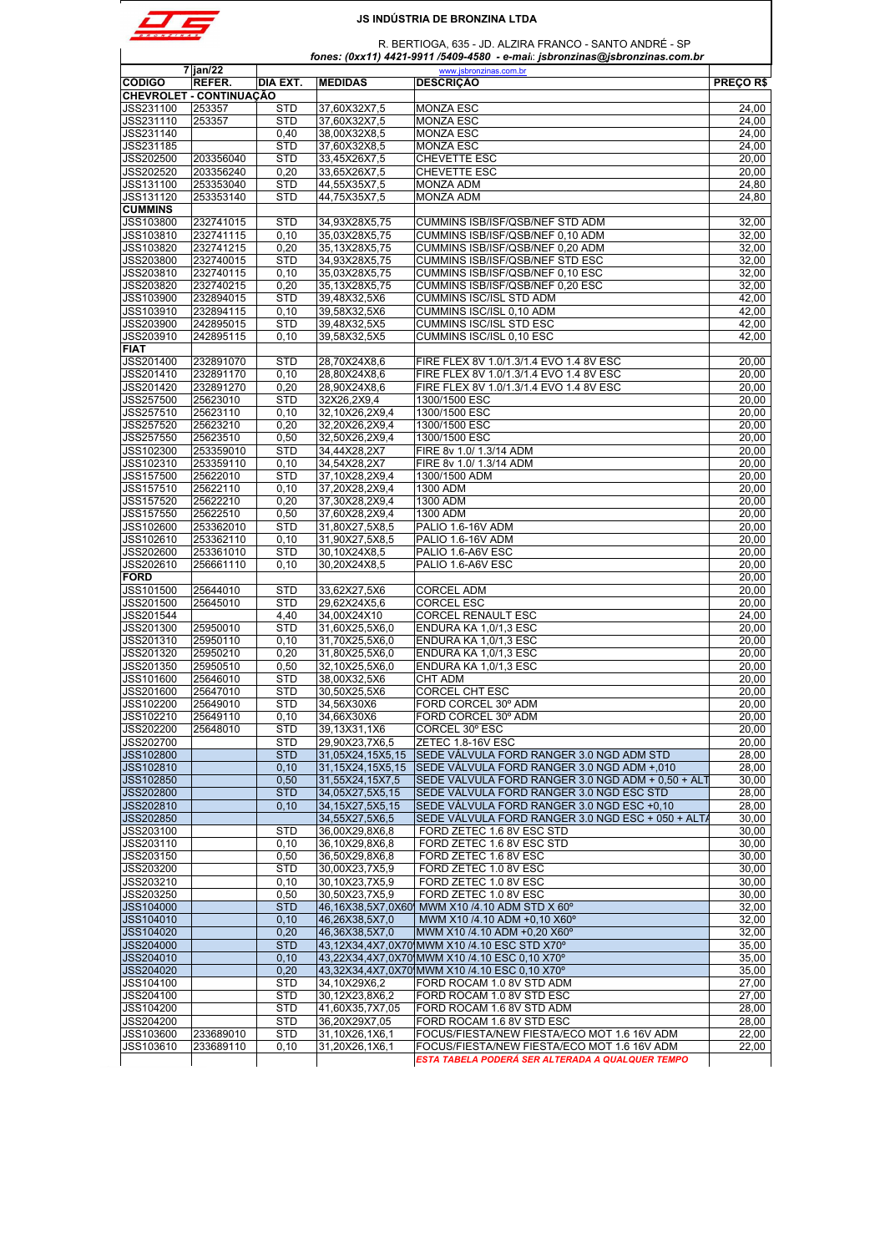

 R. BERTIOGA, 635 - JD. ALZIRA FRANCO - SANTO ANDRÉ - SP  *fones: (0xx11) 4421-9911 /5409-4580 - e-mail*: *jsbronzinas@jsbronzinas.com.br*

|                                                                            | $7$ jan/22                     |                 |                                  | www.jsbronzinas.com.br                                                                     |                                  |
|----------------------------------------------------------------------------|--------------------------------|-----------------|----------------------------------|--------------------------------------------------------------------------------------------|----------------------------------|
| <b>CÓDIGO</b>                                                              | REFER.                         | <b>DIA EXT.</b> | <b>MEDIDAS</b>                   | <b>DESCRIÇÃO</b>                                                                           | PREÇO R\$                        |
|                                                                            | <b>CHEVROLET - CONTINUAÇÃO</b> |                 |                                  |                                                                                            |                                  |
| JSS231100                                                                  | 253357                         | <b>STD</b>      | 37,60X32X7,5                     | <b>MONZA ESC</b>                                                                           | 24,00                            |
| JSS231110                                                                  | 253357                         | <b>STD</b>      | 37,60X32X7,5                     | <b>MONZA ESC</b>                                                                           | 24,00                            |
| JSS231140                                                                  |                                | 0,40            | 38,00X32X8,5                     | <b>MONZA ESC</b>                                                                           | 24,00                            |
| JSS231185                                                                  |                                | <b>STD</b>      | 37,60X32X8,5                     | <b>MONZA ESC</b>                                                                           | 24,00                            |
| JSS202500                                                                  | 203356040                      | <b>STD</b>      | 33,45X26X7,5                     | CHEVETTE ESC                                                                               | 20,00                            |
| JSS202520                                                                  | 203356240                      | 0,20            | 33,65X26X7,5                     | CHEVETTE ESC                                                                               | 20,00                            |
| JSS131100                                                                  | 253353040                      | <b>STD</b>      | 44,55X35X7,5                     | <b>MONZA ADM</b>                                                                           | 24,80                            |
|                                                                            |                                |                 |                                  |                                                                                            |                                  |
| JSS131120                                                                  | 253353140                      | <b>STD</b>      | 44,75X35X7,5                     | <b>MONZA ADM</b>                                                                           | 24,80                            |
| <b>CUMMINS</b>                                                             |                                |                 |                                  |                                                                                            |                                  |
| JSS103800                                                                  | 232741015                      | <b>STD</b>      | 34.93X28X5.75                    | CUMMINS ISB/ISF/QSB/NEF STD ADM                                                            | 32,00                            |
| JSS103810                                                                  | 232741115                      | 0,10            | 35,03X28X5,75                    | CUMMINS ISB/ISF/QSB/NEF 0,10 ADM                                                           | 32.00                            |
| JSS103820                                                                  | 232741215                      | 0,20            | 35,13X28X5,75                    | CUMMINS ISB/ISF/QSB/NEF 0,20 ADM                                                           | 32,00                            |
| JSS203800                                                                  | 232740015                      | <b>STD</b>      | 34,93X28X5,75                    | CUMMINS ISB/ISF/QSB/NEF STD ESC                                                            | 32,00                            |
| JSS203810                                                                  | 232740115                      | 0, 10           | 35,03X28X5,75                    | CUMMINS ISB/ISF/QSB/NEF 0,10 ESC                                                           | 32,00                            |
| JSS203820                                                                  | 232740215                      | 0,20            | 35,13X28X5,75                    | CUMMINS ISB/ISF/QSB/NEF 0,20 ESC                                                           | 32,00                            |
| JSS103900                                                                  | 232894015                      | <b>STD</b>      | 39,48X32,5X6                     | <b>CUMMINS ISC/ISL STD ADM</b>                                                             | 42,00                            |
|                                                                            |                                |                 |                                  |                                                                                            |                                  |
| JSS103910                                                                  | 232894115                      | 0, 10           | 39,58X32,5X6                     | CUMMINS ISC/ISL 0,10 ADM                                                                   | 42,00                            |
| JSS203900                                                                  | 242895015                      | <b>STD</b>      | 39,48X32,5X5                     | CUMMINS ISC/ISL STD ESC                                                                    | 42,00                            |
| JSS203910                                                                  | 242895115                      | 0, 10           | 39,58X32,5X5                     | CUMMINS ISC/ISL 0,10 ESC                                                                   | 42,00                            |
| <b>FIAT</b>                                                                |                                |                 |                                  |                                                                                            |                                  |
| JSS201400                                                                  | 232891070                      | <b>STD</b>      | 28,70X24X8,6                     | FIRE FLEX 8V 1.0/1.3/1.4 EVO 1.4 8V ESC                                                    | 20,00                            |
| JSS201410                                                                  | 232891170                      | 0,10            | 28,80X24X8,6                     | FIRE FLEX 8V 1.0/1.3/1.4 EVO 1.4 8V ESC                                                    | 20,00                            |
| JSS201420                                                                  | 232891270                      | 0,20            | 28.90X24X8.6                     | FIRE FLEX 8V 1.0/1.3/1.4 EVO 1.4 8V ESC                                                    | 20,00                            |
|                                                                            |                                |                 |                                  |                                                                                            |                                  |
| JSS257500                                                                  | 25623010                       | <b>STD</b>      | 32X26.2X9.4                      | 1300/1500 ESC                                                                              | 20.00                            |
| JSS257510                                                                  | 25623110                       | 0, 10           | 32,10X26,2X9,4                   | 1300/1500 ESC                                                                              | 20,00                            |
| JSS257520                                                                  | 25623210                       | 0,20            | 32,20X26,2X9,4                   | 1300/1500 ESC                                                                              | 20,00                            |
| JSS257550                                                                  | 25623510                       | 0,50            | 32,50X26,2X9,4                   | 1300/1500 ESC                                                                              | 20,00                            |
| JSS102300                                                                  | 253359010                      | <b>STD</b>      | 34,44X28,2X7                     | FIRE 8v 1.0/ 1.3/14 ADM                                                                    | 20,00                            |
| JSS102310                                                                  | 253359110                      | 0, 10           | 34,54X28,2X7                     | FIRE 8v 1.0/ 1.3/14 ADM                                                                    | 20,00                            |
| JSS157500                                                                  | 25622010                       | <b>STD</b>      | 37,10X28,2X9,4                   | 1300/1500 ADM                                                                              | 20,00                            |
|                                                                            |                                | 0, 10           |                                  |                                                                                            | 20,00                            |
| JSS157510                                                                  | 25622110                       |                 | 37,20X28,2X9,4                   | 1300 ADM                                                                                   |                                  |
| JSS157520                                                                  | 25622210                       | 0,20            | 37,30X28,2X9,4                   | 1300 ADM                                                                                   | 20,00                            |
| JSS157550                                                                  | 25622510                       | 0,50            | 37,60X28,2X9,4                   | 1300 ADM                                                                                   | 20,00                            |
| JSS102600                                                                  | 253362010                      | <b>STD</b>      | 31,80X27,5X8,5                   | PALIO 1.6-16V ADM                                                                          | 20,00                            |
| JSS102610                                                                  | 253362110                      | 0, 10           | 31,90X27,5X8,5                   | PALIO 1.6-16V ADM                                                                          | 20,00                            |
| JSS202600                                                                  | 253361010                      | <b>STD</b>      | 30,10X24X8,5                     | PALIO 1.6-A6V ESC                                                                          | 20,00                            |
| JSS202610                                                                  | 256661110                      | 0, 10           | 30.20X24X8,5                     | PALIO 1.6-A6V ESC                                                                          | 20,00                            |
| <b>FORD</b>                                                                |                                |                 |                                  |                                                                                            | 20,00                            |
| JSS101500                                                                  |                                |                 |                                  | <b>CORCEL ADM</b>                                                                          |                                  |
|                                                                            | 25644010                       | <b>STD</b>      | 33,62X27,5X6                     |                                                                                            | 20,00                            |
| JSS201500                                                                  | 25645010                       | STD             | 29,62X24X5,6                     | <b>CORCEL ESC</b>                                                                          | 20,00                            |
| JSS201544                                                                  |                                | 4,40            | 34,00X24X10                      | CORCEL RENAULT ESC                                                                         | 24,00                            |
| JSS201300                                                                  | 25950010                       | <b>STD</b>      | 31,60X25,5X6,0                   | ENDURA KA 1,0/1,3 ESC                                                                      | 20,00                            |
| JSS201310                                                                  | 25950110                       | 0,10            | 31,70X25,5X6,0                   | ENDURA KA 1,0/1,3 ESC                                                                      | 20,00                            |
| JSS201320                                                                  | 25950210                       | 0,20            | 31,80X25,5X6,0                   | ENDURA KA 1,0/1,3 ESC                                                                      | 20,00                            |
| JSS201350                                                                  | 25950510                       | 0,50            | 32,10X25,5X6,0                   | ENDURA KA 1,0/1,3 ESC                                                                      | 20,00                            |
| JSS101600                                                                  | 25646010                       | <b>STD</b>      | 38,00X32,5X6                     | CHT ADM                                                                                    | 20,00                            |
|                                                                            |                                |                 |                                  | <b>CORCEL CHT ESC</b>                                                                      |                                  |
| JSS201600                                                                  | 25647010                       | <b>STD</b>      | 30,50X25,5X6                     |                                                                                            | 20,00                            |
| JSS102200                                                                  | 25649010                       | <b>STD</b>      | 34,56X30X6                       | FORD CORCEL 30° ADM                                                                        | 20,00                            |
| JSS102210                                                                  | 25649110                       | 0,10            | 34.66X30X6                       | FORD CORCEL 30° ADM                                                                        | 20.00                            |
| JSS202200                                                                  | 25648010                       | STD             | 39,13X31,1X6                     | CORCEL 30° ESC                                                                             | 20,00                            |
| JSS202700                                                                  |                                | STD             | 29,90X23,7X6,5                   | ZETEC 1.8-16V ESC                                                                          | 20,00                            |
| JSS102800                                                                  |                                | <b>STD</b>      | 31,05X24,15X5,15                 | SEDE VÁLVULA FORD RANGER 3.0 NGD ADM STD                                                   | 28,00                            |
| JSS102810                                                                  |                                | 0,10            | 31,15X24,15X5,15                 | SEDE VÁLVULA FORD RANGER 3.0 NGD ADM +,010                                                 | 28,00                            |
| JSS102850                                                                  |                                | 0,50            | 31,55X24,15X7,5                  | SEDE VÁLVULA FORD RANGER 3.0 NGD ADM + 0,50 + ALT                                          | 30,00                            |
|                                                                            |                                |                 |                                  |                                                                                            |                                  |
| JSS202800                                                                  |                                | <b>STD</b>      | 34,05X27,5X5,15                  | SEDE VÁLVULA FORD RANGER 3.0 NGD ESC STD                                                   | 28,00                            |
| JSS202810                                                                  |                                | 0,10            | 34, 15X27, 5X5, 15               | SEDE VÁLVULA FORD RANGER 3.0 NGD ESC +0,10                                                 | 28,00                            |
| JSS202850                                                                  |                                |                 | 34.55X27.5X6.5                   | SEDE VÁLVULA FORD RANGER 3.0 NGD ESC + 050 + ALT/                                          | 30,00                            |
| JSS203100                                                                  |                                | <b>STD</b>      | 36,00X29,8X6,8                   | FORD ZETEC 1.6 8V ESC STD                                                                  | 30,00                            |
| JSS203110                                                                  |                                | 0, 10           | 36,10X29,8X6,8                   | FORD ZETEC 1.6 8V ESC STD                                                                  | 30,00                            |
| JSS203150                                                                  |                                | 0,50            | 36,50X29,8X6,8                   | FORD ZETEC 1.6 8V ESC                                                                      | 30,00                            |
| JSS203200                                                                  |                                | <b>STD</b>      | 30,00X23,7X5,9                   | FORD ZETEC 1.0 8V ESC                                                                      | 30,00                            |
| JSS203210                                                                  |                                | 0,10            | 30,10X23,7X5,9                   | FORD ZETEC 1.0 8V ESC                                                                      | 30,00                            |
|                                                                            |                                |                 | 30,50X23,7X5,9                   | FORD ZETEC 1.0 8V ESC                                                                      |                                  |
| JSS203250                                                                  |                                | 0,50            |                                  |                                                                                            | 30,00                            |
| JSS104000                                                                  |                                | <b>STD</b>      |                                  | 46,16X38,5X7,0X60 MWM X10 /4.10 ADM STD X 60°                                              | 32,00                            |
| JSS104010                                                                  |                                | 0, 10           | 46,26X38,5X7,0                   | MWM X10 /4.10 ADM +0,10 X60°                                                               | 32,00                            |
| JSS104020                                                                  |                                | 0,20            | 46,36X38,5X7,0                   | MWM X10 /4.10 ADM +0,20 X60°                                                               | 32,00                            |
| JSS204000                                                                  |                                | <b>STD</b>      |                                  | 43,12X34,4X7,0X70 MWM X10 /4.10 ESC STD X70°                                               | 35,00                            |
| JSS204010                                                                  |                                | 0,10            |                                  | 43,22X34,4X7,0X70 MWM X10 /4.10 ESC 0,10 X70°                                              | 35,00                            |
|                                                                            |                                | 0,20            |                                  | 43,32X34,4X7,0X70 MWM X10 /4.10 ESC 0,10 X70°                                              | 35,00                            |
|                                                                            |                                |                 |                                  |                                                                                            |                                  |
|                                                                            |                                | <b>STD</b>      | 34,10X29X6,2                     | FORD ROCAM 1.0 8V STD ADM                                                                  | 27,00                            |
|                                                                            |                                |                 |                                  | FORD ROCAM 1.0 8V STD ESC                                                                  | 27,00                            |
|                                                                            |                                | <b>STD</b>      | 30,12X23,8X6,2                   |                                                                                            |                                  |
|                                                                            |                                | <b>STD</b>      | 41,60X35,7X7,05                  | FORD ROCAM 1.6 8V STD ADM                                                                  |                                  |
|                                                                            |                                | STD             | 36,20X29X7,05                    | FORD ROCAM 1.6 8V STD ESC                                                                  |                                  |
| JSS204020<br>JSS104100<br>JSS204100<br>JSS104200<br>JSS204200<br>JSS103600 | 233689010                      | STD             |                                  |                                                                                            |                                  |
| JSS103610                                                                  | 233689110                      | 0, 10           | 31,10X26,1X6,1<br>31,20X26,1X6,1 | FOCUS/FIESTA/NEW FIESTA/ECO MOT 1.6 16V ADM<br>FOCUS/FIESTA/NEW FIESTA/ECO MOT 1.6 16V ADM | 28,00<br>28,00<br>22,00<br>22,00 |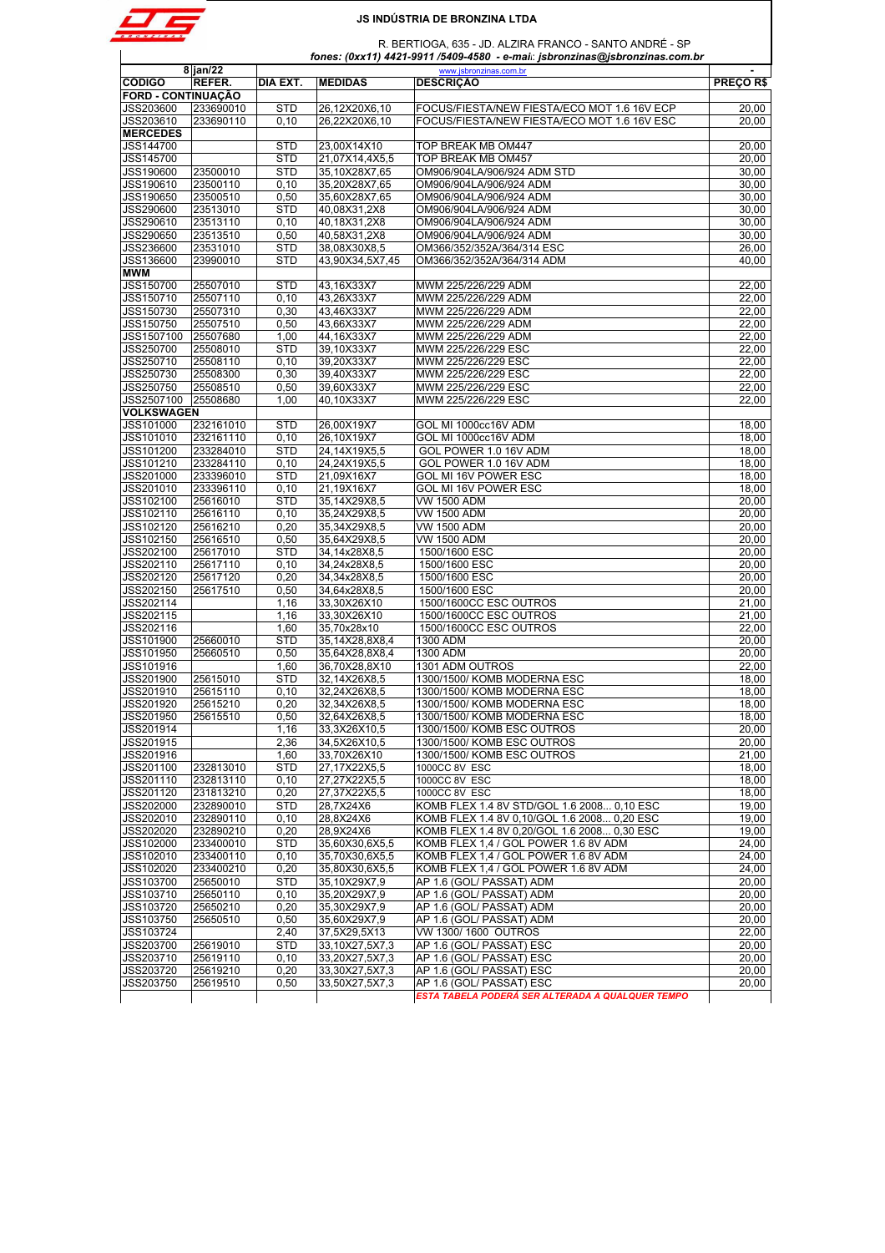

 $\mathbf{I}$ 

# **JS INDÚSTRIA DE BRONZINA LTDA**

 R. BERTIOGA, 635 - JD. ALZIRA FRANCO - SANTO ANDRÉ - SP  *fones: (0xx11) 4421-9911 /5409-4580 - e-mail*: *jsbronzinas@jsbronzinas.com.br*

|                           | $8$ jan/22 |            |                 | www.jsbronzinas.com.br                           | $\sim$         |
|---------------------------|------------|------------|-----------------|--------------------------------------------------|----------------|
| <b>CÓDIGO</b>             | REFER.     | DIA EXT.   | <b>MEDIDAS</b>  | <b>DESCRIÇÃO</b>                                 | <b>PRECORS</b> |
| <b>FORD - CONTINUAÇÃO</b> |            |            |                 |                                                  |                |
| JSS203600                 | 233690010  | <b>STD</b> | 26,12X20X6,10   | FOCUS/FIESTA/NEW FIESTA/ECO MOT 1.6 16V ECP      | 20,00          |
| JSS203610                 | 233690110  | 0, 10      | 26,22X20X6,10   | FOCUS/FIESTA/NEW FIESTA/ECO MOT 1.6 16V ESC      | 20,00          |
| <b>MERCEDES</b>           |            |            |                 |                                                  |                |
| JSS144700                 |            | <b>STD</b> | 23,00X14X10     | TOP BREAK MB OM447                               | 20,00          |
| JSS145700                 |            | <b>STD</b> | 21,07X14,4X5,5  | TOP BREAK MB OM457                               | 20,00          |
| JSS190600                 | 23500010   | <b>STD</b> | 35,10X28X7,65   | OM906/904LA/906/924 ADM STD                      | 30.00          |
| JSS190610                 | 23500110   | 0, 10      | 35,20X28X7,65   | OM906/904LA/906/924 ADM                          | 30,00          |
| JSS190650                 | 23500510   | 0,50       | 35,60X28X7,65   | OM906/904LA/906/924 ADM                          | 30,00          |
| JSS290600                 | 23513010   | <b>STD</b> | 40,08X31,2X8    | OM906/904LA/906/924 ADM                          | 30,00          |
| JSS290610                 | 23513110   | 0, 10      | 40,18X31,2X8    | OM906/904LA/906/924 ADM                          | 30,00          |
| JSS290650                 | 23513510   | 0,50       | 40,58X31,2X8    | OM906/904LA/906/924 ADM                          | 30,00          |
| JSS236600                 | 23531010   | <b>STD</b> | 38,08X30X8,5    | OM366/352/352A/364/314 ESC                       | 26,00          |
| JSS136600                 | 23990010   | <b>STD</b> | 43,90X34,5X7,45 | OM366/352/352A/364/314 ADM                       | 40,00          |
| <b>MWM</b>                |            |            |                 |                                                  |                |
| JSS150700                 | 25507010   | <b>STD</b> | 43,16X33X7      | MWM 225/226/229 ADM                              | 22,00          |
| JSS150710                 | 25507110   | 0, 10      | 43,26X33X7      | MWM 225/226/229 ADM                              | 22,00          |
| JSS150730                 | 25507310   | 0.30       | 43,46X33X7      | MWM 225/226/229 ADM                              | 22.00          |
| JSS150750                 | 25507510   | 0,50       | 43,66X33X7      | MWM 225/226/229 ADM                              | 22,00          |
| JSS1507100                | 25507680   | 1,00       |                 |                                                  | 22,00          |
|                           |            |            | 44,16X33X7      | MWM 225/226/229 ADM                              |                |
| JSS250700                 | 25508010   | <b>STD</b> | 39,10X33X7      | MWM 225/226/229 ESC                              | 22,00          |
| JSS250710                 | 25508110   | 0, 10      | 39,20X33X7      | MWM 225/226/229 ESC                              | 22,00          |
| JSS250730                 | 25508300   | 0,30       | 39,40X33X7      | MWM 225/226/229 ESC                              | 22,00          |
| JSS250750                 | 25508510   | 0,50       | 39,60X33X7      | MWM 225/226/229 ESC                              | 22,00          |
| JSS2507100 25508680       |            | 1.00       | 40,10X33X7      | MWM 225/226/229 ESC                              | 22.00          |
| VOLKSWAGEN                |            |            |                 |                                                  |                |
| JSS101000                 | 232161010  | <b>STD</b> | 26,00X19X7      | GOL MI 1000cc16V ADM                             | 18,00          |
| JSS101010                 | 232161110  | 0, 10      | 26,10X19X7      | GOL MI 1000cc16V ADM                             | 18,00          |
| JSS101200                 | 233284010  | <b>STD</b> | 24,14X19X5,5    | GOL POWER 1.0 16V ADM                            | 18,00          |
| JSS101210                 | 233284110  | 0, 10      | 24,24X19X5,5    | GOL POWER 1.0 16V ADM                            | 18,00          |
| JSS201000                 | 233396010  | <b>STD</b> | 21,09X16X7      | GOL MI 16V POWER ESC                             | 18,00          |
| JSS201010                 | 233396110  | 0, 10      | 21.19X16X7      | GOL MI 16V POWER ESC                             | 18,00          |
| JSS102100                 | 25616010   | <b>STD</b> | 35,14X29X8,5    | VW 1500 ADM                                      | 20,00          |
| JSS102110                 | 25616110   | 0, 10      | 35,24X29X8,5    | VW 1500 ADM                                      | 20,00          |
| JSS102120                 | 25616210   | 0,20       | 35,34X29X8,5    | <b>VW 1500 ADM</b>                               | 20,00          |
| JSS102150                 | 25616510   | 0,50       | 35,64X29X8,5    | VW 1500 ADM                                      | 20,00          |
| JSS202100                 | 25617010   | <b>STD</b> | 34,14x28X8,5    | 1500/1600 ESC                                    | 20.00          |
| JSS202110                 | 25617110   | 0, 10      | 34,24x28X8,5    | 1500/1600 ESC                                    | 20,00          |
| JSS202120                 | 25617120   | 0,20       | 34,34x28X8,5    | 1500/1600 ESC                                    | 20,00          |
| JSS202150                 | 25617510   | 0,50       | 34,64x28X8,5    | 1500/1600 ESC                                    | 20,00          |
| JSS202114                 |            | 1,16       | 33,30X26X10     | 1500/1600CC ESC OUTROS                           | 21,00          |
| JSS202115                 |            | 1,16       | 33,30X26X10     | 1500/1600CC ESC OUTROS                           | 21,00          |
| JSS202116                 |            | 1,60       | 35,70x28x10     | 1500/1600CC ESC OUTROS                           | 22,00          |
| JSS101900                 | 25660010   | <b>STD</b> | 35,14X28,8X8,4  | 1300 ADM                                         | 20,00          |
| JSS101950                 | 25660510   | 0,50       | 35,64X28,8X8,4  | 1300 ADM                                         | 20,00          |
| JSS101916                 |            | 1,60       | 36,70X28,8X10   | 1301 ADM OUTROS                                  | 22,00          |
|                           |            |            |                 |                                                  |                |
| JSS201900                 | 25615010   | <b>STD</b> | 32,14X26X8,5    | 1300/1500/ KOMB MODERNA ESC                      | 18,00          |
| JSS201910                 | 25615110   | 0, 10      | 32,24X26X8,5    | 1300/1500/ KOMB MODERNA ESC                      | 18,00          |
| JSS201920                 | 25615210   | 0,20       | 32,34X26X8,5    | 1300/1500/ KOMB MODERNA ESC                      | 18,00          |
| JSS201950                 | 25615510   | 0,50       | 32,64X26X8,5    | 1300/1500/ KOMB MODERNA ESC                      | 18,00          |
| <b>JSS201914</b>          |            | 1.16       | 33.3X26X10.5    | 1300/1500/ KOMB ESC OUTROS                       | 20.00          |
| JSS201915                 |            | 2,36       | 34,5X26X10,5    | 1300/1500/ KOMB ESC OUTROS                       | 20,00          |
| JSS201916                 |            | 1,60       | 33,70X26X10     | 1300/1500/ KOMB ESC OUTROS                       | 21,00          |
| JSS201100                 | 232813010  | <b>STD</b> | 27.17X22X5.5    | 1000CC 8V ESC                                    | 18,00          |
| JSS201110                 | 232813110  | 0, 10      | 27,27X22X5,5    | 1000CC 8V ESC                                    | 18,00          |
| JSS201120                 | 231813210  | 0,20       | 27,37X22X5,5    | 1000CC 8V ESC                                    | 18,00          |
| <b>JSS202000</b>          | 232890010  | <b>STD</b> | 28,7X24X6       | KOMB FLEX 1.4 8V STD/GOL 1.6 2008 0,10 ESC       | 19,00          |
| JSS202010                 | 232890110  | 0, 10      | 28,8X24X6       | KOMB FLEX 1.4 8V 0,10/GOL 1.6 2008 0,20 ESC      | 19,00          |
| JSS202020                 | 232890210  | 0,20       | 28,9X24X6       | KOMB FLEX 1.4 8V 0,20/GOL 1.6 2008 0,30 ESC      | 19,00          |
| JSS102000                 | 233400010  | <b>STD</b> | 35,60X30,6X5,5  | KOMB FLEX 1,4 / GOL POWER 1.6 8V ADM             | 24,00          |
| JSS102010                 | 233400110  | 0, 10      | 35,70X30,6X5,5  | KOMB FLEX 1,4 / GOL POWER 1.6 8V ADM             | 24,00          |
| JSS102020                 | 233400210  | 0,20       | 35,80X30,6X5,5  | KOMB FLEX 1,4 / GOL POWER 1.6 8V ADM             | 24,00          |
| JSS103700                 | 25650010   | <b>STD</b> | 35,10X29X7,9    | AP 1.6 (GOL/ PASSAT) ADM                         | 20,00          |
| JSS103710                 | 25650110   | 0, 10      | 35,20X29X7,9    | AP 1.6 (GOL/ PASSAT) ADM                         | 20,00          |
| JSS103720                 | 25650210   | 0,20       | 35,30X29X7,9    | AP 1.6 (GOL/ PASSAT) ADM                         | 20,00          |
| JSS103750                 | 25650510   | 0,50       | 35,60X29X7,9    | AP 1.6 (GOL/ PASSAT) ADM                         | 20,00          |
| JSS103724                 |            | 2,40       | 37,5X29,5X13    | VW 1300/1600 OUTROS                              | 22,00          |
| JSS203700                 | 25619010   | <b>STD</b> | 33,10X27,5X7,3  | AP 1.6 (GOL/ PASSAT) ESC                         | 20,00          |
| JSS203710                 | 25619110   | 0, 10      | 33,20X27,5X7,3  | AP 1.6 (GOL/ PASSAT) ESC                         | 20,00          |
| JSS203720                 | 25619210   | 0,20       | 33,30X27,5X7,3  | AP 1.6 (GOL/ PASSAT) ESC                         | 20,00          |
| JSS203750                 | 25619510   | 0,50       | 33,50X27,5X7,3  | AP 1.6 (GOL/ PASSAT) ESC                         | 20,00          |
|                           |            |            |                 | ESTA TABELA PODERÁ SER ALTERADA A QUALQUER TEMPO |                |
|                           |            |            |                 |                                                  |                |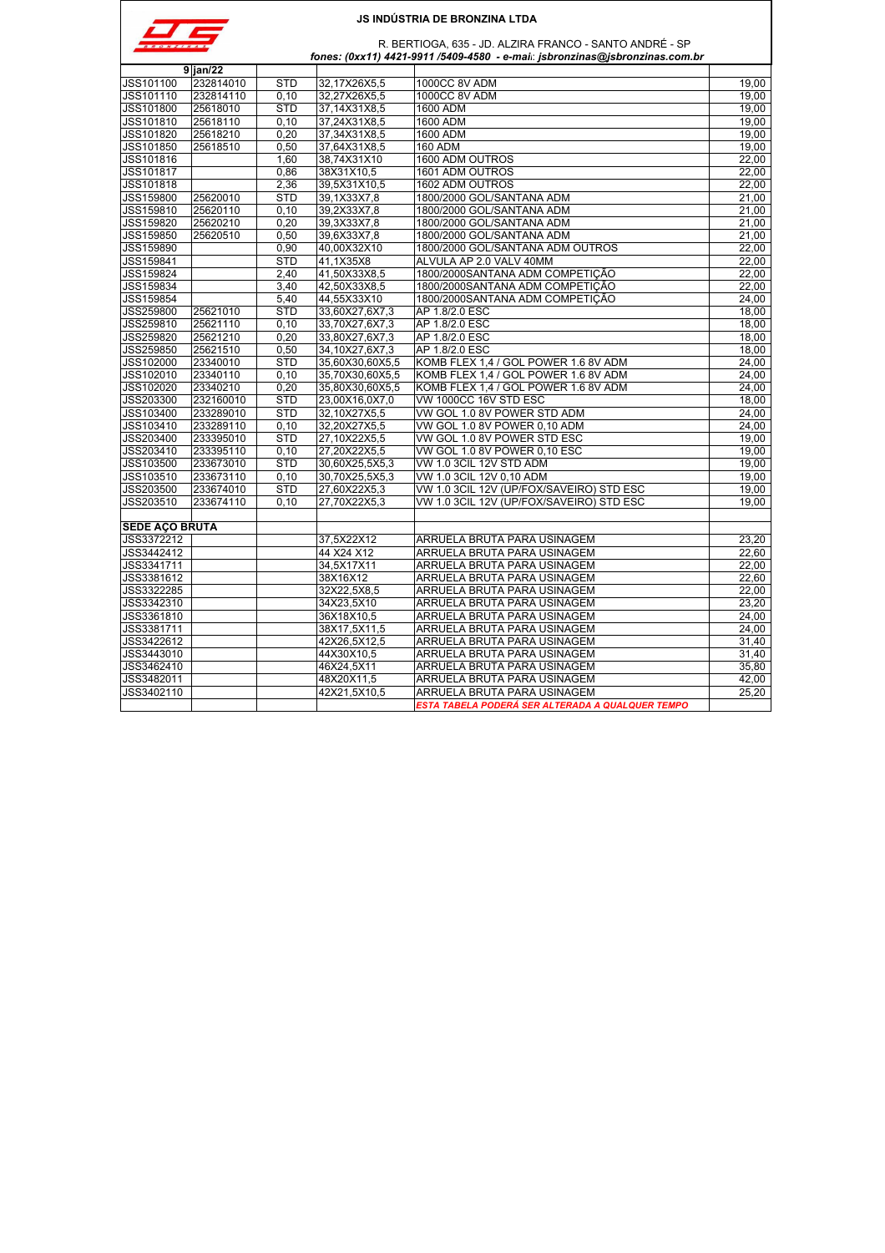

| $\sim$<br>N A S | R. BERTIOGA, 635 - JD. ALZIRA FRANCO - SANTO ANDRÉ - SP                     |
|-----------------|-----------------------------------------------------------------------------|
|                 | fones: (0xx11) 4421-9911 /5409-4580 - e-mai: jsbronzinas@jsbronzinas.com.br |

| 232814010<br>32,17X26X5,5<br><b>1000CC 8V ADM</b><br>19.00<br><b>STD</b><br>232814110<br>0.10<br><b>1000CC 8V ADM</b><br>19.00<br>32.27X26X5.5<br><b>STD</b><br>19,00<br>25618010<br>37,14X31X8,5<br>1600 ADM<br>25618110<br>0.10<br>37,24X31X8,5<br>1600 ADM<br>19.00<br>25618210<br>0.20<br>37,34X31X8,5<br>1600 ADM<br>19.00<br>25618510<br>0.50<br><b>160 ADM</b><br>19,00<br>37,64X31X8,5<br>1600 ADM OUTROS<br>JSS101816<br>38,74X31X10<br>22,00<br>1,60<br>38X31X10,5<br>1601 ADM OUTROS<br>JSS101817<br>0.86<br>22,00<br>2,36<br>1602 ADM OUTROS<br>JSS101818<br>39,5X31X10,5<br>22,00<br>JSS159800<br>25620010<br><b>STD</b><br>39,1X33X7,8<br>1800/2000 GOL/SANTANA ADM<br>21,00<br>JSS159810<br>25620110<br>0, 10<br>39,2X33X7,8<br>1800/2000 GOL/SANTANA ADM<br>21,00<br><b>JSS159820</b><br>0.20<br>39,3X33X7,8<br>1800/2000 GOL/SANTANA ADM<br>25620210<br>21,00<br>0,50<br>JSS159850<br>25620510<br>39,6X33X7,8<br>1800/2000 GOL/SANTANA ADM<br>21,00<br>JSS159890<br>0,90<br>40,00X32X10<br>1800/2000 GOL/SANTANA ADM OUTROS<br>22.00<br>JSS159841<br><b>STD</b><br>41.1X35X8<br>ALVULA AP 2.0 VALV 40MM<br>22.00<br><b>JSS159824</b><br>1800/2000SANTANA ADM COMPETIÇÃO<br>2,40<br>41,50X33X8,5<br>22,00<br>1800/2000SANTANA ADM COMPETIÇÃO<br>22,00<br>JSS159834<br>3.40<br>42,50X33X8,5<br>JSS159854<br>5,40<br>44,55X33X10<br>1800/2000SANTANA ADM COMPETIÇÃO<br>24,00<br>JSS259800<br>25621010<br><b>STD</b><br>33,60X27,6X7,3<br>AP 1.8/2.0 ESC<br>18.00<br>JSS259810<br>25621110<br>0, 10<br>33,70X27,6X7,3<br>AP 1.8/2.0 ESC<br>18,00<br>JSS259820<br>AP 1.8/2.0 ESC<br>25621210<br>0.20<br>33,80X27,6X7,3<br>18,00<br>AP 1.8/2.0 ESC<br>JSS259850<br>25621510<br>0,50<br>34,10X27,6X7,3<br>18,00<br>JSS102000<br>23340010<br><b>STD</b><br>35,60X30,60X5,5<br>KOMB FLEX 1,4 / GOL POWER 1.6 8V ADM<br>24,00<br>23340110<br>JSS102010<br>0, 10<br>35,70X30,60X5,5<br>KOMB FLEX 1,4 / GOL POWER 1.6 8V ADM<br>24,00<br>JSS102020<br>0,20<br>23340210<br>35,80X30,60X5,5<br>KOMB FLEX 1,4 / GOL POWER 1.6 8V ADM<br>24,00<br>JSS203300<br>232160010<br><b>STD</b><br>VW 1000CC 16V STD ESC<br>18,00<br>23,00X16,0X7,0<br>JSS103400<br><b>STD</b><br>VW GOL 1.0 8V POWER STD ADM<br>233289010<br>32,10X27X5,5<br>24,00<br>JSS103410<br>233289110<br>0.10<br>32,20X27X5,5<br>VW GOL 1.0 8V POWER 0,10 ADM<br>24.00<br><b>STD</b><br>JSS203400<br>233395010<br>27,10X22X5,5<br>VW GOL 1.0 8V POWER STD ESC<br>19.00<br>JSS203410<br>233395110<br>0, 10<br>27,20X22X5,5<br>VW GOL 1.0 8V POWER 0,10 ESC<br>19,00<br>JSS103500<br>233673010<br><b>STD</b><br>VW 1.0 3CIL 12V STD ADM<br>19,00<br>30,60X25,5X5,3<br>JSS103510<br>233673110<br>0.10<br>30,70X25,5X5,3<br>VW 1.0 3CIL 12V 0.10 ADM<br>19.00<br>JSS203500<br>233674010<br><b>STD</b><br>VW 1.0 3CIL 12V (UP/FOX/SAVEIRO) STD ESC<br>27,60X22X5,3<br>19,00<br>JSS203510<br>233674110<br>0.10<br>27.70X22X5.3<br>VW 1.0 3CIL 12V (UP/FOX/SAVEIRO) STD ESC<br>19.00<br><b>SEDE AÇO BRUTA</b><br>37,5X22X12<br>ARRUELA BRUTA PARA USINAGEM<br>JSS3372212<br>23,20<br>JSS3442412<br>22.60<br>44 X24 X12<br>ARRUELA BRUTA PARA USINAGEM<br>22,00<br>JSS3341711<br>34,5X17X11<br>ARRUELA BRUTA PARA USINAGEM<br>JSS3381612<br>38X16X12<br>ARRUELA BRUTA PARA USINAGEM<br>22,60<br>JSS3322285<br>32X22,5X8,5<br>ARRUELA BRUTA PARA USINAGEM<br>22.00<br>JSS3342310<br>34X23,5X10<br>ARRUELA BRUTA PARA USINAGEM<br>23,20<br>JSS3361810<br>36X18X10,5<br>ARRUELA BRUTA PARA USINAGEM<br>24,00<br>JSS3381711<br>38X17,5X11,5<br>ARRUELA BRUTA PARA USINAGEM<br>24,00<br>JSS3422612<br>42X26.5X12.5<br>ARRUELA BRUTA PARA USINAGEM<br>31.40<br>ARRUELA BRUTA PARA USINAGEM<br>JSS3443010<br>44X30X10,5<br>31,40<br>JSS3462410<br>ARRUELA BRUTA PARA USINAGEM<br>46X24,5X11<br>35,80<br>ARRUELA BRUTA PARA USINAGEM<br>JSS3482011<br>48X20X11,5<br>42,00<br>JSS3402110<br>42X21.5X10.5<br>ARRUELA BRUTA PARA USINAGEM<br>25.20 |                  | $9$ jan/22 |  |                                                  |  |
|-------------------------------------------------------------------------------------------------------------------------------------------------------------------------------------------------------------------------------------------------------------------------------------------------------------------------------------------------------------------------------------------------------------------------------------------------------------------------------------------------------------------------------------------------------------------------------------------------------------------------------------------------------------------------------------------------------------------------------------------------------------------------------------------------------------------------------------------------------------------------------------------------------------------------------------------------------------------------------------------------------------------------------------------------------------------------------------------------------------------------------------------------------------------------------------------------------------------------------------------------------------------------------------------------------------------------------------------------------------------------------------------------------------------------------------------------------------------------------------------------------------------------------------------------------------------------------------------------------------------------------------------------------------------------------------------------------------------------------------------------------------------------------------------------------------------------------------------------------------------------------------------------------------------------------------------------------------------------------------------------------------------------------------------------------------------------------------------------------------------------------------------------------------------------------------------------------------------------------------------------------------------------------------------------------------------------------------------------------------------------------------------------------------------------------------------------------------------------------------------------------------------------------------------------------------------------------------------------------------------------------------------------------------------------------------------------------------------------------------------------------------------------------------------------------------------------------------------------------------------------------------------------------------------------------------------------------------------------------------------------------------------------------------------------------------------------------------------------------------------------------------------------------------------------------------------------------------------------------------------------------------------------------------------------------------------------------------------------------------------------------------------------------------------------------------------------------------------------------------------------------------------------------------------------------------------------------------------------------------------------------------------------------------------------------------------------------------------------------------------------------------------------------------------------------------------------------------------------------------------------------------------------|------------------|------------|--|--------------------------------------------------|--|
|                                                                                                                                                                                                                                                                                                                                                                                                                                                                                                                                                                                                                                                                                                                                                                                                                                                                                                                                                                                                                                                                                                                                                                                                                                                                                                                                                                                                                                                                                                                                                                                                                                                                                                                                                                                                                                                                                                                                                                                                                                                                                                                                                                                                                                                                                                                                                                                                                                                                                                                                                                                                                                                                                                                                                                                                                                                                                                                                                                                                                                                                                                                                                                                                                                                                                                                                                                                                                                                                                                                                                                                                                                                                                                                                                                                                                                                                                                 | JSS101100        |            |  |                                                  |  |
|                                                                                                                                                                                                                                                                                                                                                                                                                                                                                                                                                                                                                                                                                                                                                                                                                                                                                                                                                                                                                                                                                                                                                                                                                                                                                                                                                                                                                                                                                                                                                                                                                                                                                                                                                                                                                                                                                                                                                                                                                                                                                                                                                                                                                                                                                                                                                                                                                                                                                                                                                                                                                                                                                                                                                                                                                                                                                                                                                                                                                                                                                                                                                                                                                                                                                                                                                                                                                                                                                                                                                                                                                                                                                                                                                                                                                                                                                                 | JSS101110        |            |  |                                                  |  |
|                                                                                                                                                                                                                                                                                                                                                                                                                                                                                                                                                                                                                                                                                                                                                                                                                                                                                                                                                                                                                                                                                                                                                                                                                                                                                                                                                                                                                                                                                                                                                                                                                                                                                                                                                                                                                                                                                                                                                                                                                                                                                                                                                                                                                                                                                                                                                                                                                                                                                                                                                                                                                                                                                                                                                                                                                                                                                                                                                                                                                                                                                                                                                                                                                                                                                                                                                                                                                                                                                                                                                                                                                                                                                                                                                                                                                                                                                                 | JSS101800        |            |  |                                                  |  |
|                                                                                                                                                                                                                                                                                                                                                                                                                                                                                                                                                                                                                                                                                                                                                                                                                                                                                                                                                                                                                                                                                                                                                                                                                                                                                                                                                                                                                                                                                                                                                                                                                                                                                                                                                                                                                                                                                                                                                                                                                                                                                                                                                                                                                                                                                                                                                                                                                                                                                                                                                                                                                                                                                                                                                                                                                                                                                                                                                                                                                                                                                                                                                                                                                                                                                                                                                                                                                                                                                                                                                                                                                                                                                                                                                                                                                                                                                                 | JSS101810        |            |  |                                                  |  |
|                                                                                                                                                                                                                                                                                                                                                                                                                                                                                                                                                                                                                                                                                                                                                                                                                                                                                                                                                                                                                                                                                                                                                                                                                                                                                                                                                                                                                                                                                                                                                                                                                                                                                                                                                                                                                                                                                                                                                                                                                                                                                                                                                                                                                                                                                                                                                                                                                                                                                                                                                                                                                                                                                                                                                                                                                                                                                                                                                                                                                                                                                                                                                                                                                                                                                                                                                                                                                                                                                                                                                                                                                                                                                                                                                                                                                                                                                                 | JSS101820        |            |  |                                                  |  |
|                                                                                                                                                                                                                                                                                                                                                                                                                                                                                                                                                                                                                                                                                                                                                                                                                                                                                                                                                                                                                                                                                                                                                                                                                                                                                                                                                                                                                                                                                                                                                                                                                                                                                                                                                                                                                                                                                                                                                                                                                                                                                                                                                                                                                                                                                                                                                                                                                                                                                                                                                                                                                                                                                                                                                                                                                                                                                                                                                                                                                                                                                                                                                                                                                                                                                                                                                                                                                                                                                                                                                                                                                                                                                                                                                                                                                                                                                                 | <b>JSS101850</b> |            |  |                                                  |  |
|                                                                                                                                                                                                                                                                                                                                                                                                                                                                                                                                                                                                                                                                                                                                                                                                                                                                                                                                                                                                                                                                                                                                                                                                                                                                                                                                                                                                                                                                                                                                                                                                                                                                                                                                                                                                                                                                                                                                                                                                                                                                                                                                                                                                                                                                                                                                                                                                                                                                                                                                                                                                                                                                                                                                                                                                                                                                                                                                                                                                                                                                                                                                                                                                                                                                                                                                                                                                                                                                                                                                                                                                                                                                                                                                                                                                                                                                                                 |                  |            |  |                                                  |  |
|                                                                                                                                                                                                                                                                                                                                                                                                                                                                                                                                                                                                                                                                                                                                                                                                                                                                                                                                                                                                                                                                                                                                                                                                                                                                                                                                                                                                                                                                                                                                                                                                                                                                                                                                                                                                                                                                                                                                                                                                                                                                                                                                                                                                                                                                                                                                                                                                                                                                                                                                                                                                                                                                                                                                                                                                                                                                                                                                                                                                                                                                                                                                                                                                                                                                                                                                                                                                                                                                                                                                                                                                                                                                                                                                                                                                                                                                                                 |                  |            |  |                                                  |  |
|                                                                                                                                                                                                                                                                                                                                                                                                                                                                                                                                                                                                                                                                                                                                                                                                                                                                                                                                                                                                                                                                                                                                                                                                                                                                                                                                                                                                                                                                                                                                                                                                                                                                                                                                                                                                                                                                                                                                                                                                                                                                                                                                                                                                                                                                                                                                                                                                                                                                                                                                                                                                                                                                                                                                                                                                                                                                                                                                                                                                                                                                                                                                                                                                                                                                                                                                                                                                                                                                                                                                                                                                                                                                                                                                                                                                                                                                                                 |                  |            |  |                                                  |  |
|                                                                                                                                                                                                                                                                                                                                                                                                                                                                                                                                                                                                                                                                                                                                                                                                                                                                                                                                                                                                                                                                                                                                                                                                                                                                                                                                                                                                                                                                                                                                                                                                                                                                                                                                                                                                                                                                                                                                                                                                                                                                                                                                                                                                                                                                                                                                                                                                                                                                                                                                                                                                                                                                                                                                                                                                                                                                                                                                                                                                                                                                                                                                                                                                                                                                                                                                                                                                                                                                                                                                                                                                                                                                                                                                                                                                                                                                                                 |                  |            |  |                                                  |  |
|                                                                                                                                                                                                                                                                                                                                                                                                                                                                                                                                                                                                                                                                                                                                                                                                                                                                                                                                                                                                                                                                                                                                                                                                                                                                                                                                                                                                                                                                                                                                                                                                                                                                                                                                                                                                                                                                                                                                                                                                                                                                                                                                                                                                                                                                                                                                                                                                                                                                                                                                                                                                                                                                                                                                                                                                                                                                                                                                                                                                                                                                                                                                                                                                                                                                                                                                                                                                                                                                                                                                                                                                                                                                                                                                                                                                                                                                                                 |                  |            |  |                                                  |  |
|                                                                                                                                                                                                                                                                                                                                                                                                                                                                                                                                                                                                                                                                                                                                                                                                                                                                                                                                                                                                                                                                                                                                                                                                                                                                                                                                                                                                                                                                                                                                                                                                                                                                                                                                                                                                                                                                                                                                                                                                                                                                                                                                                                                                                                                                                                                                                                                                                                                                                                                                                                                                                                                                                                                                                                                                                                                                                                                                                                                                                                                                                                                                                                                                                                                                                                                                                                                                                                                                                                                                                                                                                                                                                                                                                                                                                                                                                                 |                  |            |  |                                                  |  |
|                                                                                                                                                                                                                                                                                                                                                                                                                                                                                                                                                                                                                                                                                                                                                                                                                                                                                                                                                                                                                                                                                                                                                                                                                                                                                                                                                                                                                                                                                                                                                                                                                                                                                                                                                                                                                                                                                                                                                                                                                                                                                                                                                                                                                                                                                                                                                                                                                                                                                                                                                                                                                                                                                                                                                                                                                                                                                                                                                                                                                                                                                                                                                                                                                                                                                                                                                                                                                                                                                                                                                                                                                                                                                                                                                                                                                                                                                                 |                  |            |  |                                                  |  |
|                                                                                                                                                                                                                                                                                                                                                                                                                                                                                                                                                                                                                                                                                                                                                                                                                                                                                                                                                                                                                                                                                                                                                                                                                                                                                                                                                                                                                                                                                                                                                                                                                                                                                                                                                                                                                                                                                                                                                                                                                                                                                                                                                                                                                                                                                                                                                                                                                                                                                                                                                                                                                                                                                                                                                                                                                                                                                                                                                                                                                                                                                                                                                                                                                                                                                                                                                                                                                                                                                                                                                                                                                                                                                                                                                                                                                                                                                                 |                  |            |  |                                                  |  |
|                                                                                                                                                                                                                                                                                                                                                                                                                                                                                                                                                                                                                                                                                                                                                                                                                                                                                                                                                                                                                                                                                                                                                                                                                                                                                                                                                                                                                                                                                                                                                                                                                                                                                                                                                                                                                                                                                                                                                                                                                                                                                                                                                                                                                                                                                                                                                                                                                                                                                                                                                                                                                                                                                                                                                                                                                                                                                                                                                                                                                                                                                                                                                                                                                                                                                                                                                                                                                                                                                                                                                                                                                                                                                                                                                                                                                                                                                                 |                  |            |  |                                                  |  |
|                                                                                                                                                                                                                                                                                                                                                                                                                                                                                                                                                                                                                                                                                                                                                                                                                                                                                                                                                                                                                                                                                                                                                                                                                                                                                                                                                                                                                                                                                                                                                                                                                                                                                                                                                                                                                                                                                                                                                                                                                                                                                                                                                                                                                                                                                                                                                                                                                                                                                                                                                                                                                                                                                                                                                                                                                                                                                                                                                                                                                                                                                                                                                                                                                                                                                                                                                                                                                                                                                                                                                                                                                                                                                                                                                                                                                                                                                                 |                  |            |  |                                                  |  |
|                                                                                                                                                                                                                                                                                                                                                                                                                                                                                                                                                                                                                                                                                                                                                                                                                                                                                                                                                                                                                                                                                                                                                                                                                                                                                                                                                                                                                                                                                                                                                                                                                                                                                                                                                                                                                                                                                                                                                                                                                                                                                                                                                                                                                                                                                                                                                                                                                                                                                                                                                                                                                                                                                                                                                                                                                                                                                                                                                                                                                                                                                                                                                                                                                                                                                                                                                                                                                                                                                                                                                                                                                                                                                                                                                                                                                                                                                                 |                  |            |  |                                                  |  |
|                                                                                                                                                                                                                                                                                                                                                                                                                                                                                                                                                                                                                                                                                                                                                                                                                                                                                                                                                                                                                                                                                                                                                                                                                                                                                                                                                                                                                                                                                                                                                                                                                                                                                                                                                                                                                                                                                                                                                                                                                                                                                                                                                                                                                                                                                                                                                                                                                                                                                                                                                                                                                                                                                                                                                                                                                                                                                                                                                                                                                                                                                                                                                                                                                                                                                                                                                                                                                                                                                                                                                                                                                                                                                                                                                                                                                                                                                                 |                  |            |  |                                                  |  |
|                                                                                                                                                                                                                                                                                                                                                                                                                                                                                                                                                                                                                                                                                                                                                                                                                                                                                                                                                                                                                                                                                                                                                                                                                                                                                                                                                                                                                                                                                                                                                                                                                                                                                                                                                                                                                                                                                                                                                                                                                                                                                                                                                                                                                                                                                                                                                                                                                                                                                                                                                                                                                                                                                                                                                                                                                                                                                                                                                                                                                                                                                                                                                                                                                                                                                                                                                                                                                                                                                                                                                                                                                                                                                                                                                                                                                                                                                                 |                  |            |  |                                                  |  |
|                                                                                                                                                                                                                                                                                                                                                                                                                                                                                                                                                                                                                                                                                                                                                                                                                                                                                                                                                                                                                                                                                                                                                                                                                                                                                                                                                                                                                                                                                                                                                                                                                                                                                                                                                                                                                                                                                                                                                                                                                                                                                                                                                                                                                                                                                                                                                                                                                                                                                                                                                                                                                                                                                                                                                                                                                                                                                                                                                                                                                                                                                                                                                                                                                                                                                                                                                                                                                                                                                                                                                                                                                                                                                                                                                                                                                                                                                                 |                  |            |  |                                                  |  |
|                                                                                                                                                                                                                                                                                                                                                                                                                                                                                                                                                                                                                                                                                                                                                                                                                                                                                                                                                                                                                                                                                                                                                                                                                                                                                                                                                                                                                                                                                                                                                                                                                                                                                                                                                                                                                                                                                                                                                                                                                                                                                                                                                                                                                                                                                                                                                                                                                                                                                                                                                                                                                                                                                                                                                                                                                                                                                                                                                                                                                                                                                                                                                                                                                                                                                                                                                                                                                                                                                                                                                                                                                                                                                                                                                                                                                                                                                                 |                  |            |  |                                                  |  |
|                                                                                                                                                                                                                                                                                                                                                                                                                                                                                                                                                                                                                                                                                                                                                                                                                                                                                                                                                                                                                                                                                                                                                                                                                                                                                                                                                                                                                                                                                                                                                                                                                                                                                                                                                                                                                                                                                                                                                                                                                                                                                                                                                                                                                                                                                                                                                                                                                                                                                                                                                                                                                                                                                                                                                                                                                                                                                                                                                                                                                                                                                                                                                                                                                                                                                                                                                                                                                                                                                                                                                                                                                                                                                                                                                                                                                                                                                                 |                  |            |  |                                                  |  |
|                                                                                                                                                                                                                                                                                                                                                                                                                                                                                                                                                                                                                                                                                                                                                                                                                                                                                                                                                                                                                                                                                                                                                                                                                                                                                                                                                                                                                                                                                                                                                                                                                                                                                                                                                                                                                                                                                                                                                                                                                                                                                                                                                                                                                                                                                                                                                                                                                                                                                                                                                                                                                                                                                                                                                                                                                                                                                                                                                                                                                                                                                                                                                                                                                                                                                                                                                                                                                                                                                                                                                                                                                                                                                                                                                                                                                                                                                                 |                  |            |  |                                                  |  |
|                                                                                                                                                                                                                                                                                                                                                                                                                                                                                                                                                                                                                                                                                                                                                                                                                                                                                                                                                                                                                                                                                                                                                                                                                                                                                                                                                                                                                                                                                                                                                                                                                                                                                                                                                                                                                                                                                                                                                                                                                                                                                                                                                                                                                                                                                                                                                                                                                                                                                                                                                                                                                                                                                                                                                                                                                                                                                                                                                                                                                                                                                                                                                                                                                                                                                                                                                                                                                                                                                                                                                                                                                                                                                                                                                                                                                                                                                                 |                  |            |  |                                                  |  |
|                                                                                                                                                                                                                                                                                                                                                                                                                                                                                                                                                                                                                                                                                                                                                                                                                                                                                                                                                                                                                                                                                                                                                                                                                                                                                                                                                                                                                                                                                                                                                                                                                                                                                                                                                                                                                                                                                                                                                                                                                                                                                                                                                                                                                                                                                                                                                                                                                                                                                                                                                                                                                                                                                                                                                                                                                                                                                                                                                                                                                                                                                                                                                                                                                                                                                                                                                                                                                                                                                                                                                                                                                                                                                                                                                                                                                                                                                                 |                  |            |  |                                                  |  |
|                                                                                                                                                                                                                                                                                                                                                                                                                                                                                                                                                                                                                                                                                                                                                                                                                                                                                                                                                                                                                                                                                                                                                                                                                                                                                                                                                                                                                                                                                                                                                                                                                                                                                                                                                                                                                                                                                                                                                                                                                                                                                                                                                                                                                                                                                                                                                                                                                                                                                                                                                                                                                                                                                                                                                                                                                                                                                                                                                                                                                                                                                                                                                                                                                                                                                                                                                                                                                                                                                                                                                                                                                                                                                                                                                                                                                                                                                                 |                  |            |  |                                                  |  |
|                                                                                                                                                                                                                                                                                                                                                                                                                                                                                                                                                                                                                                                                                                                                                                                                                                                                                                                                                                                                                                                                                                                                                                                                                                                                                                                                                                                                                                                                                                                                                                                                                                                                                                                                                                                                                                                                                                                                                                                                                                                                                                                                                                                                                                                                                                                                                                                                                                                                                                                                                                                                                                                                                                                                                                                                                                                                                                                                                                                                                                                                                                                                                                                                                                                                                                                                                                                                                                                                                                                                                                                                                                                                                                                                                                                                                                                                                                 |                  |            |  |                                                  |  |
|                                                                                                                                                                                                                                                                                                                                                                                                                                                                                                                                                                                                                                                                                                                                                                                                                                                                                                                                                                                                                                                                                                                                                                                                                                                                                                                                                                                                                                                                                                                                                                                                                                                                                                                                                                                                                                                                                                                                                                                                                                                                                                                                                                                                                                                                                                                                                                                                                                                                                                                                                                                                                                                                                                                                                                                                                                                                                                                                                                                                                                                                                                                                                                                                                                                                                                                                                                                                                                                                                                                                                                                                                                                                                                                                                                                                                                                                                                 |                  |            |  |                                                  |  |
|                                                                                                                                                                                                                                                                                                                                                                                                                                                                                                                                                                                                                                                                                                                                                                                                                                                                                                                                                                                                                                                                                                                                                                                                                                                                                                                                                                                                                                                                                                                                                                                                                                                                                                                                                                                                                                                                                                                                                                                                                                                                                                                                                                                                                                                                                                                                                                                                                                                                                                                                                                                                                                                                                                                                                                                                                                                                                                                                                                                                                                                                                                                                                                                                                                                                                                                                                                                                                                                                                                                                                                                                                                                                                                                                                                                                                                                                                                 |                  |            |  |                                                  |  |
|                                                                                                                                                                                                                                                                                                                                                                                                                                                                                                                                                                                                                                                                                                                                                                                                                                                                                                                                                                                                                                                                                                                                                                                                                                                                                                                                                                                                                                                                                                                                                                                                                                                                                                                                                                                                                                                                                                                                                                                                                                                                                                                                                                                                                                                                                                                                                                                                                                                                                                                                                                                                                                                                                                                                                                                                                                                                                                                                                                                                                                                                                                                                                                                                                                                                                                                                                                                                                                                                                                                                                                                                                                                                                                                                                                                                                                                                                                 |                  |            |  |                                                  |  |
|                                                                                                                                                                                                                                                                                                                                                                                                                                                                                                                                                                                                                                                                                                                                                                                                                                                                                                                                                                                                                                                                                                                                                                                                                                                                                                                                                                                                                                                                                                                                                                                                                                                                                                                                                                                                                                                                                                                                                                                                                                                                                                                                                                                                                                                                                                                                                                                                                                                                                                                                                                                                                                                                                                                                                                                                                                                                                                                                                                                                                                                                                                                                                                                                                                                                                                                                                                                                                                                                                                                                                                                                                                                                                                                                                                                                                                                                                                 |                  |            |  |                                                  |  |
|                                                                                                                                                                                                                                                                                                                                                                                                                                                                                                                                                                                                                                                                                                                                                                                                                                                                                                                                                                                                                                                                                                                                                                                                                                                                                                                                                                                                                                                                                                                                                                                                                                                                                                                                                                                                                                                                                                                                                                                                                                                                                                                                                                                                                                                                                                                                                                                                                                                                                                                                                                                                                                                                                                                                                                                                                                                                                                                                                                                                                                                                                                                                                                                                                                                                                                                                                                                                                                                                                                                                                                                                                                                                                                                                                                                                                                                                                                 |                  |            |  |                                                  |  |
|                                                                                                                                                                                                                                                                                                                                                                                                                                                                                                                                                                                                                                                                                                                                                                                                                                                                                                                                                                                                                                                                                                                                                                                                                                                                                                                                                                                                                                                                                                                                                                                                                                                                                                                                                                                                                                                                                                                                                                                                                                                                                                                                                                                                                                                                                                                                                                                                                                                                                                                                                                                                                                                                                                                                                                                                                                                                                                                                                                                                                                                                                                                                                                                                                                                                                                                                                                                                                                                                                                                                                                                                                                                                                                                                                                                                                                                                                                 |                  |            |  |                                                  |  |
|                                                                                                                                                                                                                                                                                                                                                                                                                                                                                                                                                                                                                                                                                                                                                                                                                                                                                                                                                                                                                                                                                                                                                                                                                                                                                                                                                                                                                                                                                                                                                                                                                                                                                                                                                                                                                                                                                                                                                                                                                                                                                                                                                                                                                                                                                                                                                                                                                                                                                                                                                                                                                                                                                                                                                                                                                                                                                                                                                                                                                                                                                                                                                                                                                                                                                                                                                                                                                                                                                                                                                                                                                                                                                                                                                                                                                                                                                                 |                  |            |  |                                                  |  |
|                                                                                                                                                                                                                                                                                                                                                                                                                                                                                                                                                                                                                                                                                                                                                                                                                                                                                                                                                                                                                                                                                                                                                                                                                                                                                                                                                                                                                                                                                                                                                                                                                                                                                                                                                                                                                                                                                                                                                                                                                                                                                                                                                                                                                                                                                                                                                                                                                                                                                                                                                                                                                                                                                                                                                                                                                                                                                                                                                                                                                                                                                                                                                                                                                                                                                                                                                                                                                                                                                                                                                                                                                                                                                                                                                                                                                                                                                                 |                  |            |  |                                                  |  |
|                                                                                                                                                                                                                                                                                                                                                                                                                                                                                                                                                                                                                                                                                                                                                                                                                                                                                                                                                                                                                                                                                                                                                                                                                                                                                                                                                                                                                                                                                                                                                                                                                                                                                                                                                                                                                                                                                                                                                                                                                                                                                                                                                                                                                                                                                                                                                                                                                                                                                                                                                                                                                                                                                                                                                                                                                                                                                                                                                                                                                                                                                                                                                                                                                                                                                                                                                                                                                                                                                                                                                                                                                                                                                                                                                                                                                                                                                                 |                  |            |  |                                                  |  |
|                                                                                                                                                                                                                                                                                                                                                                                                                                                                                                                                                                                                                                                                                                                                                                                                                                                                                                                                                                                                                                                                                                                                                                                                                                                                                                                                                                                                                                                                                                                                                                                                                                                                                                                                                                                                                                                                                                                                                                                                                                                                                                                                                                                                                                                                                                                                                                                                                                                                                                                                                                                                                                                                                                                                                                                                                                                                                                                                                                                                                                                                                                                                                                                                                                                                                                                                                                                                                                                                                                                                                                                                                                                                                                                                                                                                                                                                                                 |                  |            |  |                                                  |  |
|                                                                                                                                                                                                                                                                                                                                                                                                                                                                                                                                                                                                                                                                                                                                                                                                                                                                                                                                                                                                                                                                                                                                                                                                                                                                                                                                                                                                                                                                                                                                                                                                                                                                                                                                                                                                                                                                                                                                                                                                                                                                                                                                                                                                                                                                                                                                                                                                                                                                                                                                                                                                                                                                                                                                                                                                                                                                                                                                                                                                                                                                                                                                                                                                                                                                                                                                                                                                                                                                                                                                                                                                                                                                                                                                                                                                                                                                                                 |                  |            |  |                                                  |  |
|                                                                                                                                                                                                                                                                                                                                                                                                                                                                                                                                                                                                                                                                                                                                                                                                                                                                                                                                                                                                                                                                                                                                                                                                                                                                                                                                                                                                                                                                                                                                                                                                                                                                                                                                                                                                                                                                                                                                                                                                                                                                                                                                                                                                                                                                                                                                                                                                                                                                                                                                                                                                                                                                                                                                                                                                                                                                                                                                                                                                                                                                                                                                                                                                                                                                                                                                                                                                                                                                                                                                                                                                                                                                                                                                                                                                                                                                                                 |                  |            |  |                                                  |  |
|                                                                                                                                                                                                                                                                                                                                                                                                                                                                                                                                                                                                                                                                                                                                                                                                                                                                                                                                                                                                                                                                                                                                                                                                                                                                                                                                                                                                                                                                                                                                                                                                                                                                                                                                                                                                                                                                                                                                                                                                                                                                                                                                                                                                                                                                                                                                                                                                                                                                                                                                                                                                                                                                                                                                                                                                                                                                                                                                                                                                                                                                                                                                                                                                                                                                                                                                                                                                                                                                                                                                                                                                                                                                                                                                                                                                                                                                                                 |                  |            |  |                                                  |  |
|                                                                                                                                                                                                                                                                                                                                                                                                                                                                                                                                                                                                                                                                                                                                                                                                                                                                                                                                                                                                                                                                                                                                                                                                                                                                                                                                                                                                                                                                                                                                                                                                                                                                                                                                                                                                                                                                                                                                                                                                                                                                                                                                                                                                                                                                                                                                                                                                                                                                                                                                                                                                                                                                                                                                                                                                                                                                                                                                                                                                                                                                                                                                                                                                                                                                                                                                                                                                                                                                                                                                                                                                                                                                                                                                                                                                                                                                                                 |                  |            |  |                                                  |  |
|                                                                                                                                                                                                                                                                                                                                                                                                                                                                                                                                                                                                                                                                                                                                                                                                                                                                                                                                                                                                                                                                                                                                                                                                                                                                                                                                                                                                                                                                                                                                                                                                                                                                                                                                                                                                                                                                                                                                                                                                                                                                                                                                                                                                                                                                                                                                                                                                                                                                                                                                                                                                                                                                                                                                                                                                                                                                                                                                                                                                                                                                                                                                                                                                                                                                                                                                                                                                                                                                                                                                                                                                                                                                                                                                                                                                                                                                                                 |                  |            |  |                                                  |  |
|                                                                                                                                                                                                                                                                                                                                                                                                                                                                                                                                                                                                                                                                                                                                                                                                                                                                                                                                                                                                                                                                                                                                                                                                                                                                                                                                                                                                                                                                                                                                                                                                                                                                                                                                                                                                                                                                                                                                                                                                                                                                                                                                                                                                                                                                                                                                                                                                                                                                                                                                                                                                                                                                                                                                                                                                                                                                                                                                                                                                                                                                                                                                                                                                                                                                                                                                                                                                                                                                                                                                                                                                                                                                                                                                                                                                                                                                                                 |                  |            |  |                                                  |  |
|                                                                                                                                                                                                                                                                                                                                                                                                                                                                                                                                                                                                                                                                                                                                                                                                                                                                                                                                                                                                                                                                                                                                                                                                                                                                                                                                                                                                                                                                                                                                                                                                                                                                                                                                                                                                                                                                                                                                                                                                                                                                                                                                                                                                                                                                                                                                                                                                                                                                                                                                                                                                                                                                                                                                                                                                                                                                                                                                                                                                                                                                                                                                                                                                                                                                                                                                                                                                                                                                                                                                                                                                                                                                                                                                                                                                                                                                                                 |                  |            |  |                                                  |  |
|                                                                                                                                                                                                                                                                                                                                                                                                                                                                                                                                                                                                                                                                                                                                                                                                                                                                                                                                                                                                                                                                                                                                                                                                                                                                                                                                                                                                                                                                                                                                                                                                                                                                                                                                                                                                                                                                                                                                                                                                                                                                                                                                                                                                                                                                                                                                                                                                                                                                                                                                                                                                                                                                                                                                                                                                                                                                                                                                                                                                                                                                                                                                                                                                                                                                                                                                                                                                                                                                                                                                                                                                                                                                                                                                                                                                                                                                                                 |                  |            |  |                                                  |  |
|                                                                                                                                                                                                                                                                                                                                                                                                                                                                                                                                                                                                                                                                                                                                                                                                                                                                                                                                                                                                                                                                                                                                                                                                                                                                                                                                                                                                                                                                                                                                                                                                                                                                                                                                                                                                                                                                                                                                                                                                                                                                                                                                                                                                                                                                                                                                                                                                                                                                                                                                                                                                                                                                                                                                                                                                                                                                                                                                                                                                                                                                                                                                                                                                                                                                                                                                                                                                                                                                                                                                                                                                                                                                                                                                                                                                                                                                                                 |                  |            |  |                                                  |  |
|                                                                                                                                                                                                                                                                                                                                                                                                                                                                                                                                                                                                                                                                                                                                                                                                                                                                                                                                                                                                                                                                                                                                                                                                                                                                                                                                                                                                                                                                                                                                                                                                                                                                                                                                                                                                                                                                                                                                                                                                                                                                                                                                                                                                                                                                                                                                                                                                                                                                                                                                                                                                                                                                                                                                                                                                                                                                                                                                                                                                                                                                                                                                                                                                                                                                                                                                                                                                                                                                                                                                                                                                                                                                                                                                                                                                                                                                                                 |                  |            |  |                                                  |  |
|                                                                                                                                                                                                                                                                                                                                                                                                                                                                                                                                                                                                                                                                                                                                                                                                                                                                                                                                                                                                                                                                                                                                                                                                                                                                                                                                                                                                                                                                                                                                                                                                                                                                                                                                                                                                                                                                                                                                                                                                                                                                                                                                                                                                                                                                                                                                                                                                                                                                                                                                                                                                                                                                                                                                                                                                                                                                                                                                                                                                                                                                                                                                                                                                                                                                                                                                                                                                                                                                                                                                                                                                                                                                                                                                                                                                                                                                                                 |                  |            |  |                                                  |  |
|                                                                                                                                                                                                                                                                                                                                                                                                                                                                                                                                                                                                                                                                                                                                                                                                                                                                                                                                                                                                                                                                                                                                                                                                                                                                                                                                                                                                                                                                                                                                                                                                                                                                                                                                                                                                                                                                                                                                                                                                                                                                                                                                                                                                                                                                                                                                                                                                                                                                                                                                                                                                                                                                                                                                                                                                                                                                                                                                                                                                                                                                                                                                                                                                                                                                                                                                                                                                                                                                                                                                                                                                                                                                                                                                                                                                                                                                                                 |                  |            |  |                                                  |  |
|                                                                                                                                                                                                                                                                                                                                                                                                                                                                                                                                                                                                                                                                                                                                                                                                                                                                                                                                                                                                                                                                                                                                                                                                                                                                                                                                                                                                                                                                                                                                                                                                                                                                                                                                                                                                                                                                                                                                                                                                                                                                                                                                                                                                                                                                                                                                                                                                                                                                                                                                                                                                                                                                                                                                                                                                                                                                                                                                                                                                                                                                                                                                                                                                                                                                                                                                                                                                                                                                                                                                                                                                                                                                                                                                                                                                                                                                                                 |                  |            |  | ESTA TABELA PODERÁ SER ALTERADA A QUALQUER TEMPO |  |